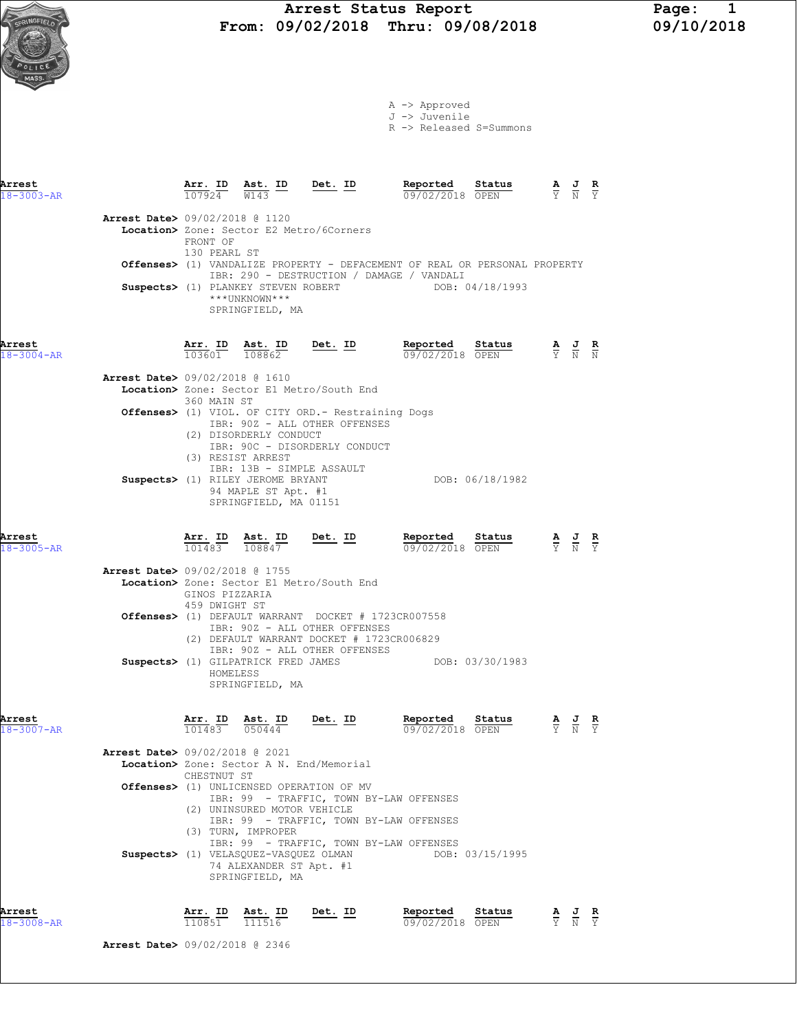Arrest Status Report Page: 1<br>09/02/2018 Thru: 09/08/2018 09/10/2018 From:  $09/02/2018$  Thru:  $09/08/2018$ 

> A -> Approved J -> Juvenile



|                            |                                          |                                 |                                                                                                         |                                                                                                                                             | R -> Released S=Summons                                                                          |                                                                                                 |                                                                                                 |               |
|----------------------------|------------------------------------------|---------------------------------|---------------------------------------------------------------------------------------------------------|---------------------------------------------------------------------------------------------------------------------------------------------|--------------------------------------------------------------------------------------------------|-------------------------------------------------------------------------------------------------|-------------------------------------------------------------------------------------------------|---------------|
| Arrest<br>$18 - 3003 - AR$ |                                          |                                 | $\frac{\texttt{Arr.}}{107924}$ $\frac{\texttt{Ab.}}{\texttt{W143}}$ $\frac{\texttt{ID}}{\texttt{W143}}$ | Det. ID                                                                                                                                     | Reported Status<br>09/02/2018 OPEN                                                               | $\frac{\mathbf{A}}{\mathbf{Y}}$ $\frac{\mathbf{J}}{\mathbf{N}}$ $\frac{\mathbf{R}}{\mathbf{Y}}$ |                                                                                                 |               |
|                            | <b>Arrest Date&gt;</b> 09/02/2018 @ 1120 | FRONT OF                        |                                                                                                         | Location> Zone: Sector E2 Metro/6Corners                                                                                                    |                                                                                                  |                                                                                                 |                                                                                                 |               |
|                            |                                          | 130 PEARL ST                    |                                                                                                         |                                                                                                                                             | Offenses> (1) VANDALIZE PROPERTY - DEFACEMENT OF REAL OR PERSONAL PROPERTY                       |                                                                                                 |                                                                                                 |               |
|                            |                                          |                                 | ***UNKNOWN***<br>SPRINGFIELD, MA                                                                        |                                                                                                                                             | IBR: 290 - DESTRUCTION / DAMAGE / VANDALI<br>Suspects> (1) PLANKEY STEVEN ROBERT DOB: 04/18/1993 |                                                                                                 |                                                                                                 |               |
| Arrest<br>$18 - 3004 - AR$ |                                          |                                 | $\frac{\texttt{Arr.}}{103601}$ $\frac{\texttt{ Ast.}}{108862}$<br>Ast. ID                               | <u>Det. ID</u>                                                                                                                              | Reported<br>Status<br>09/02/2018 OPEN                                                            | $\frac{\mathbf{A}}{\mathbf{Y}}$ $\frac{\mathbf{J}}{\mathbf{N}}$ $\frac{\mathbf{R}}{\mathbf{N}}$ |                                                                                                 |               |
|                            | Arrest Date> 09/02/2018 @ 1610           |                                 |                                                                                                         | Location> Zone: Sector E1 Metro/South End                                                                                                   |                                                                                                  |                                                                                                 |                                                                                                 |               |
|                            |                                          | 360 MAIN ST                     | (2) DISORDERLY CONDUCT<br>(3) RESIST ARREST                                                             | Offenses> (1) VIOL. OF CITY ORD. - Restraining Dogs<br>IBR: 90Z - ALL OTHER OFFENSES<br>IBR: 90C - DISORDERLY CONDUCT                       |                                                                                                  |                                                                                                 |                                                                                                 |               |
|                            |                                          |                                 | Suspects> (1) RILEY JEROME BRYANT<br>94 MAPLE ST Apt. #1<br>SPRINGFIELD, MA 01151                       | IBR: 13B - SIMPLE ASSAULT                                                                                                                   | DOB: 06/18/1982                                                                                  |                                                                                                 |                                                                                                 |               |
| Arrest<br>$18 - 3005 - AR$ |                                          |                                 |                                                                                                         | $\frac{\texttt{Arr.}}{101483}$ $\frac{\texttt{ Ast.}}{108847}$ Det. ID                                                                      | Reported Status<br>$09/02/2018$ OPEN                                                             | $\frac{\mathbf{A}}{\mathbf{Y}}$ $\frac{\mathbf{J}}{\mathbf{N}}$ $\frac{\mathbf{R}}{\mathbf{Y}}$ |                                                                                                 |               |
|                            | <b>Arrest Date&gt; 09/02/2018 @ 1755</b> | GINOS PIZZARIA<br>459 DWIGHT ST |                                                                                                         | Location> Zone: Sector E1 Metro/South End                                                                                                   |                                                                                                  |                                                                                                 |                                                                                                 |               |
|                            |                                          |                                 |                                                                                                         | <b>Offenses&gt;</b> (1) DEFAULT WARRANT DOCKET # 1723CR007558<br>IBR: 90Z - ALL OTHER OFFENSES<br>(2) DEFAULT WARRANT DOCKET # 1723CR006829 |                                                                                                  |                                                                                                 |                                                                                                 |               |
|                            |                                          | HOMELESS                        | SPRINGFIELD, MA                                                                                         | IBR: 90Z - ALL OTHER OFFENSES<br>Suspects> (1) GILPATRICK FRED JAMES                                                                        | DOB: 03/30/1983                                                                                  |                                                                                                 |                                                                                                 |               |
| Arrest<br>$18 - 3007 - AR$ |                                          |                                 | $\frac{\texttt{Arr. ID}}{101483}$ $\frac{\texttt{ Ast. ID}}{050444}$<br>Ast. ID                         | Det. ID                                                                                                                                     | Reported<br>Status<br>09/02/2018 OPEN                                                            |                                                                                                 | $\frac{\mathbf{A}}{\mathbf{Y}}$ $\frac{\mathbf{J}}{\mathbf{N}}$ $\frac{\mathbf{R}}{\mathbf{Y}}$ |               |
|                            | Arrest Date> 09/02/2018 @ 2021           | CHESTNUT ST                     |                                                                                                         | Location> Zone: Sector A N. End/Memorial                                                                                                    |                                                                                                  |                                                                                                 |                                                                                                 |               |
|                            |                                          |                                 |                                                                                                         | Offenses> (1) UNLICENSED OPERATION OF MV                                                                                                    | IBR: 99 - TRAFFIC, TOWN BY-LAW OFFENSES                                                          |                                                                                                 |                                                                                                 |               |
|                            |                                          |                                 | (2) UNINSURED MOTOR VEHICLE<br>(3) TURN, IMPROPER                                                       |                                                                                                                                             | IBR: 99 - TRAFFIC, TOWN BY-LAW OFFENSES                                                          |                                                                                                 |                                                                                                 |               |
|                            |                                          |                                 | 74 ALEXANDER ST Apt. #1<br>SPRINGFIELD, MA                                                              | Suspects> (1) VELASQUEZ-VASQUEZ OLMAN                                                                                                       | IBR: 99 - TRAFFIC, TOWN BY-LAW OFFENSES<br>DOB: 03/15/1995                                       |                                                                                                 |                                                                                                 |               |
| Arrest<br>18-3008-AR       |                                          | Arr. ID<br>110851               | Ast. ID<br>111516                                                                                       | Det. ID                                                                                                                                     | Reported<br>Status<br>09/02/2018 OPEN                                                            |                                                                                                 | $\frac{\mathbf{A}}{\mathbf{Y}}$ $\frac{\mathbf{J}}{\mathbf{N}}$                                 | $\frac{R}{Y}$ |

Arrest Date> 09/02/2018 @ 2346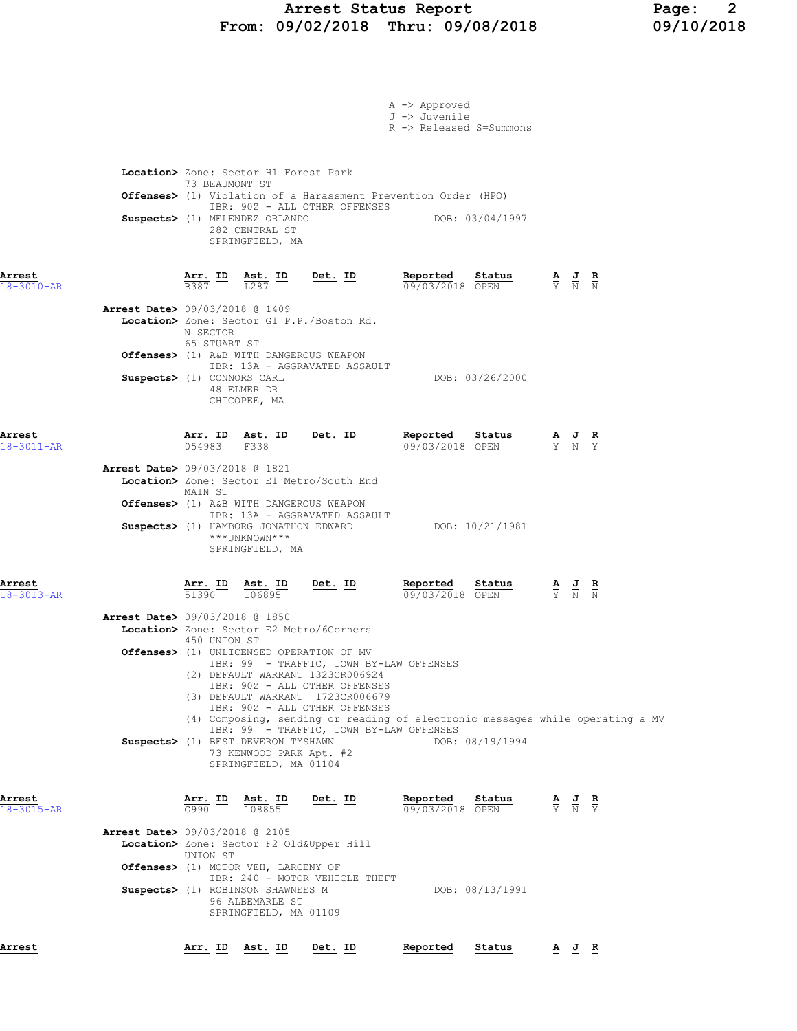## Arrest Status Report Page: 2 From: 09/02/2018 Thru: 09/08/2018 09/10/2018

|                            |                                                                                                  |                                                                                    |                                                                                                                                                                                                                                                                    | A -> Approved<br>J -> Juvenile<br>R -> Released S=Summons             |                 |                                                                                                       |  |
|----------------------------|--------------------------------------------------------------------------------------------------|------------------------------------------------------------------------------------|--------------------------------------------------------------------------------------------------------------------------------------------------------------------------------------------------------------------------------------------------------------------|-----------------------------------------------------------------------|-----------------|-------------------------------------------------------------------------------------------------------|--|
|                            | Location> Zone: Sector H1 Forest Park<br>73 BEAUMONT ST<br>Suspects> (1) MELENDEZ ORLANDO        | 282 CENTRAL ST<br>SPRINGFIELD, MA                                                  | <b>Offenses&gt;</b> (1) Violation of a Harassment Prevention Order (HPO)<br>IBR: 90Z - ALL OTHER OFFENSES                                                                                                                                                          |                                                                       | DOB: 03/04/1997 |                                                                                                       |  |
| Arrest<br>$18 - 3010 - AR$ |                                                                                                  |                                                                                    | $\frac{\texttt{Arr.}}{\texttt{B}387}$ ID $\frac{\texttt{Ast.}}{\texttt{L}287}$ ID Det. ID                                                                                                                                                                          | <b>Reported Status A J R</b> 09/03/2018 OPEN $\frac{1}{Y}$ <b>N N</b> |                 |                                                                                                       |  |
|                            | <b>Arrest Date&gt;</b> 09/03/2018 @ 1409<br>N SECTOR<br>65 STUART ST                             |                                                                                    | Location> Zone: Sector G1 P.P./Boston Rd.                                                                                                                                                                                                                          |                                                                       |                 |                                                                                                       |  |
|                            | Offenses> (1) A&B WITH DANGEROUS WEAPON<br>Suspects> (1) CONNORS CARL                            | 48 ELMER DR<br>CHICOPEE, MA                                                        | IBR: 13A - AGGRAVATED ASSAULT                                                                                                                                                                                                                                      |                                                                       | DOB: 03/26/2000 |                                                                                                       |  |
| Arrest<br>18-3011-AR       |                                                                                                  | $\frac{\texttt{Arr.}}{054983}$ $\frac{\texttt{Ab.}}{F338}$ $\frac{\texttt{ID}}{F}$ | $Det. ID$                                                                                                                                                                                                                                                          | Reported Status<br>09/03/2018 OPEN                                    |                 | $\frac{\mathbf{A}}{\overline{Y}}$ $\frac{\mathbf{J}}{\overline{N}}$ $\frac{\mathbf{R}}{\overline{Y}}$ |  |
|                            | <b>Arrest Date&gt; 09/03/2018 @ 1821</b><br>MAIN ST<br>Offenses> (1) A&B WITH DANGEROUS WEAPON   |                                                                                    | Location> Zone: Sector E1 Metro/South End<br>IBR: 13A - AGGRAVATED ASSAULT                                                                                                                                                                                         |                                                                       |                 |                                                                                                       |  |
|                            |                                                                                                  | ***UNKNOWN***<br>SPRINGFIELD, MA                                                   | Suspects> (1) HAMBORG JONATHON EDWARD DOB: 10/21/1981                                                                                                                                                                                                              |                                                                       |                 |                                                                                                       |  |
| Arrest<br>18-3013-AR       | <b>Arr. ID</b><br>51390                                                                          | $\frac{\texttt{Ast.}}{106895}$                                                     | <u>Det. ID</u>                                                                                                                                                                                                                                                     | Reported<br>09/03/2018 OPEN                                           | Status          | $\frac{\mathbf{A}}{\mathbf{Y}}$ $\frac{\mathbf{J}}{\mathbf{N}}$ $\frac{\mathbf{R}}{\mathbf{N}}$       |  |
|                            | <b>Arrest Date&gt; 09/03/2018 @ 1850</b><br>Location> Zone: Sector E2 Metro/6Corners             |                                                                                    |                                                                                                                                                                                                                                                                    |                                                                       |                 |                                                                                                       |  |
|                            | 450 UNION ST<br>Offenses> (1) UNLICENSED OPERATION OF MV                                         |                                                                                    | IBR: 99 - TRAFFIC, TOWN BY-LAW OFFENSES<br>(2) DEFAULT WARRANT 1323CR006924<br>IBR: 90Z - ALL OTHER OFFENSES<br>(3) DEFAULT WARRANT 1723CR006679<br>IBR: 90Z - ALL OTHER OFFENSES<br>(4) Composing, sending or reading of electronic messages while operating a MV |                                                                       |                 |                                                                                                       |  |
|                            | Suspects> (1) BEST DEVERON TYSHAWN                                                               | 73 KENWOOD PARK Apt. #2<br>SPRINGFIELD, MA 01104                                   | IBR: 99 - TRAFFIC, TOWN BY-LAW OFFENSES                                                                                                                                                                                                                            |                                                                       | DOB: 08/19/1994 |                                                                                                       |  |
| Arrest<br>$18 - 3015 - AR$ | Arr. ID<br>G990                                                                                  | Ast. ID<br>108855                                                                  | Det. ID                                                                                                                                                                                                                                                            | Reported<br>09/03/2018 OPEN                                           | Status          | $\frac{\mathbf{A}}{\mathbf{Y}}$ $\frac{\mathbf{J}}{\mathbf{N}}$ $\frac{\mathbf{R}}{\mathbf{Y}}$       |  |
|                            | <b>Arrest Date&gt; 09/03/2018 @ 2105</b><br>Location> Zone: Sector F2 Old&Upper Hill<br>UNION ST |                                                                                    |                                                                                                                                                                                                                                                                    |                                                                       |                 |                                                                                                       |  |
|                            | Offenses> (1) MOTOR VEH, LARCENY OF<br>Suspects> (1) ROBINSON SHAWNEES M                         | 96 ALBEMARLE ST<br>SPRINGFIELD, MA 01109                                           | IBR: 240 - MOTOR VEHICLE THEFT                                                                                                                                                                                                                                     |                                                                       | DOB: 08/13/1991 |                                                                                                       |  |
| Arrest                     |                                                                                                  | Arr. ID Ast. ID                                                                    | Det. ID                                                                                                                                                                                                                                                            | Reported                                                              | Status          | A J R                                                                                                 |  |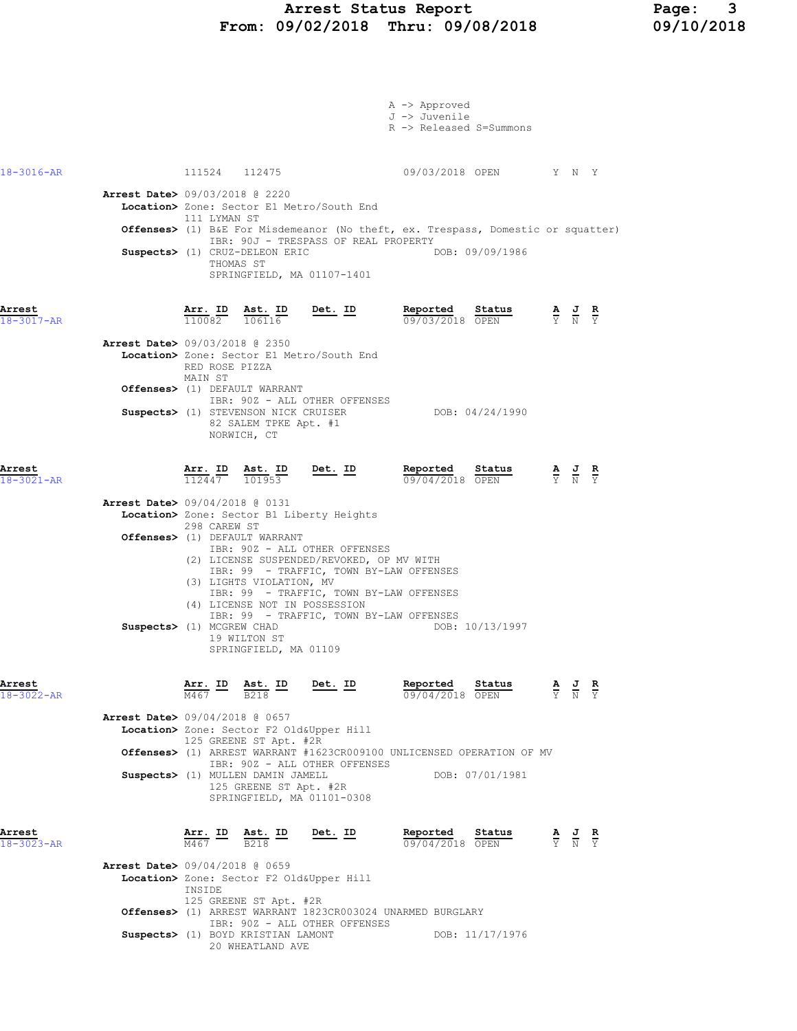|                  |                                          |                                   |                                             |                                                                              | A -> Approved<br>J -> Juvenile                                                   |        |                                                                                                 |                               |
|------------------|------------------------------------------|-----------------------------------|---------------------------------------------|------------------------------------------------------------------------------|----------------------------------------------------------------------------------|--------|-------------------------------------------------------------------------------------------------|-------------------------------|
|                  |                                          |                                   |                                             |                                                                              | R -> Released S=Summons                                                          |        |                                                                                                 |                               |
|                  |                                          |                                   |                                             |                                                                              |                                                                                  |        |                                                                                                 |                               |
|                  |                                          |                                   |                                             |                                                                              |                                                                                  |        |                                                                                                 |                               |
| 18-3016-AR       |                                          |                                   | 111524 112475                               |                                                                              | 09/03/2018 OPEN Y N Y                                                            |        |                                                                                                 |                               |
|                  | <b>Arrest Date&gt;</b> 09/03/2018 @ 2220 |                                   |                                             |                                                                              |                                                                                  |        |                                                                                                 |                               |
|                  |                                          | 111 LYMAN ST                      |                                             | Location> Zone: Sector E1 Metro/South End                                    |                                                                                  |        |                                                                                                 |                               |
|                  |                                          |                                   |                                             |                                                                              | Offenses> (1) B&E For Misdemeanor (No theft, ex. Trespass, Domestic or squatter) |        |                                                                                                 |                               |
|                  |                                          |                                   |                                             | IBR: 90J - TRESPASS OF REAL PROPERTY                                         |                                                                                  |        |                                                                                                 |                               |
|                  |                                          |                                   | Suspects> (1) CRUZ-DELEON ERIC<br>THOMAS ST |                                                                              | DOB: 09/09/1986                                                                  |        |                                                                                                 |                               |
|                  |                                          |                                   |                                             | SPRINGFIELD, MA 01107-1401                                                   |                                                                                  |        |                                                                                                 |                               |
|                  |                                          |                                   |                                             |                                                                              |                                                                                  |        |                                                                                                 |                               |
| Arrest           |                                          |                                   |                                             |                                                                              |                                                                                  |        |                                                                                                 |                               |
| 18-3017-AR       |                                          |                                   |                                             | $\frac{\texttt{Arr.}}{110082}$ $\frac{\texttt{ Ast.}}{106116}$ Det. ID       | <b>Reported Status A J R</b><br>09/03/2018 OPEN Y N Y                            |        |                                                                                                 |                               |
|                  | <b>Arrest Date&gt; 09/03/2018 @ 2350</b> |                                   |                                             |                                                                              |                                                                                  |        |                                                                                                 |                               |
|                  |                                          |                                   |                                             | Location> Zone: Sector E1 Metro/South End                                    |                                                                                  |        |                                                                                                 |                               |
|                  |                                          | RED ROSE PIZZA<br>MAIN ST         |                                             |                                                                              |                                                                                  |        |                                                                                                 |                               |
|                  |                                          |                                   | Offenses> (1) DEFAULT WARRANT               |                                                                              |                                                                                  |        |                                                                                                 |                               |
|                  |                                          |                                   |                                             | IBR: 90Z - ALL OTHER OFFENSES<br>Suspects> (1) STEVENSON NICK CRUISER        | DOB: 04/24/1990                                                                  |        |                                                                                                 |                               |
|                  |                                          |                                   | 82 SALEM TPKE Apt. #1                       |                                                                              |                                                                                  |        |                                                                                                 |                               |
|                  |                                          |                                   | NORWICH, CT                                 |                                                                              |                                                                                  |        |                                                                                                 |                               |
|                  |                                          |                                   |                                             |                                                                              |                                                                                  |        |                                                                                                 |                               |
| Arrest           |                                          |                                   |                                             | $\frac{\texttt{Arr. ID}}{112447}$ $\frac{\texttt{ Ast. ID}}{101953}$ Det. ID | Reported Status                                                                  |        | $\frac{\mathbf{A}}{\mathbf{Y}}$ $\frac{\mathbf{J}}{\mathbf{N}}$ $\frac{\mathbf{R}}{\mathbf{Y}}$ |                               |
| $18 - 3021 - AR$ |                                          |                                   |                                             |                                                                              | 09/04/2018 OPEN                                                                  |        |                                                                                                 |                               |
|                  | Arrest Date> 09/04/2018 @ 0131           |                                   |                                             |                                                                              |                                                                                  |        |                                                                                                 |                               |
|                  |                                          | 298 CAREW ST                      |                                             | Location> Zone: Sector B1 Liberty Heights                                    |                                                                                  |        |                                                                                                 |                               |
|                  |                                          |                                   | Offenses> (1) DEFAULT WARRANT               |                                                                              |                                                                                  |        |                                                                                                 |                               |
|                  |                                          |                                   |                                             | IBR: 90Z - ALL OTHER OFFENSES<br>(2) LICENSE SUSPENDED/REVOKED, OP MV WITH   |                                                                                  |        |                                                                                                 |                               |
|                  |                                          |                                   |                                             | IBR: 99 - TRAFFIC, TOWN BY-LAW OFFENSES                                      |                                                                                  |        |                                                                                                 |                               |
|                  |                                          |                                   | (3) LIGHTS VIOLATION, MV                    | IBR: 99 - TRAFFIC, TOWN BY-LAW OFFENSES                                      |                                                                                  |        |                                                                                                 |                               |
|                  |                                          |                                   |                                             | (4) LICENSE NOT IN POSSESSION                                                |                                                                                  |        |                                                                                                 |                               |
|                  |                                          |                                   |                                             |                                                                              | IBR: 99 - TRAFFIC, TOWN BY-LAW OFFENSES<br>DOB: 10/13/1997                       |        |                                                                                                 |                               |
|                  | Suspects> (1) MCGREW CHAD                |                                   | 19 WILTON ST                                |                                                                              |                                                                                  |        |                                                                                                 |                               |
|                  |                                          |                                   | SPRINGFIELD, MA 01109                       |                                                                              |                                                                                  |        |                                                                                                 |                               |
|                  |                                          |                                   |                                             |                                                                              |                                                                                  |        |                                                                                                 |                               |
| Arrest           |                                          | $\frac{\text{Arr.}}{\text{F}}$ ID | <u>Ast.</u> ID                              | <u>Det. ID</u>                                                               | Reported                                                                         | Status |                                                                                                 | $rac{\mathbf{R}}{\mathrm{Y}}$ |
| $18 - 3022 - AR$ |                                          |                                   |                                             |                                                                              | 09/04/2018 OPEN                                                                  |        |                                                                                                 |                               |
|                  | Arrest Date> 09/04/2018 @ 0657           |                                   |                                             |                                                                              |                                                                                  |        |                                                                                                 |                               |
|                  |                                          |                                   | 125 GREENE ST Apt. #2R                      | Location> Zone: Sector F2 Old&Upper Hill                                     |                                                                                  |        |                                                                                                 |                               |
|                  |                                          |                                   |                                             |                                                                              | Offenses> (1) ARREST WARRANT #1623CR009100 UNLICENSED OPERATION OF MV            |        |                                                                                                 |                               |
|                  |                                          |                                   | Suspects> (1) MULLEN DAMIN JAMELL           | IBR: 90Z - ALL OTHER OFFENSES                                                | DOB: 07/01/1981                                                                  |        |                                                                                                 |                               |
|                  |                                          |                                   | 125 GREENE ST Apt. #2R                      |                                                                              |                                                                                  |        |                                                                                                 |                               |
|                  |                                          |                                   |                                             | SPRINGFIELD, MA 01101-0308                                                   |                                                                                  |        |                                                                                                 |                               |
|                  |                                          |                                   |                                             |                                                                              |                                                                                  |        |                                                                                                 |                               |
| Arrest           |                                          | <u>Arr. ID</u>                    | <u>Ast. ID</u>                              | <u>Det. ID</u>                                                               | Reported                                                                         | Status | $\frac{\mathbf{A}}{\mathbf{Y}}$ $\frac{\mathbf{J}}{\mathbf{N}}$                                 | $\frac{R}{Y}$                 |
| 18-3023-AR       |                                          | M467                              | <b>B218</b>                                 |                                                                              | 09/04/2018 OPEN                                                                  |        |                                                                                                 |                               |
|                  | <b>Arrest Date&gt;</b> 09/04/2018 @ 0659 |                                   |                                             |                                                                              |                                                                                  |        |                                                                                                 |                               |
|                  |                                          | INSIDE                            |                                             | Location> Zone: Sector F2 Old&Upper Hill                                     |                                                                                  |        |                                                                                                 |                               |
|                  |                                          |                                   | 125 GREENE ST Apt. #2R                      |                                                                              |                                                                                  |        |                                                                                                 |                               |
|                  |                                          |                                   |                                             | IBR: 90Z - ALL OTHER OFFENSES                                                | Offenses> (1) ARREST WARRANT 1823CR003024 UNARMED BURGLARY                       |        |                                                                                                 |                               |
|                  |                                          |                                   | Suspects> (1) BOYD KRISTIAN LAMONT          |                                                                              | DOB: 11/17/1976                                                                  |        |                                                                                                 |                               |
|                  |                                          |                                   | 20 WHEATLAND AVE                            |                                                                              |                                                                                  |        |                                                                                                 |                               |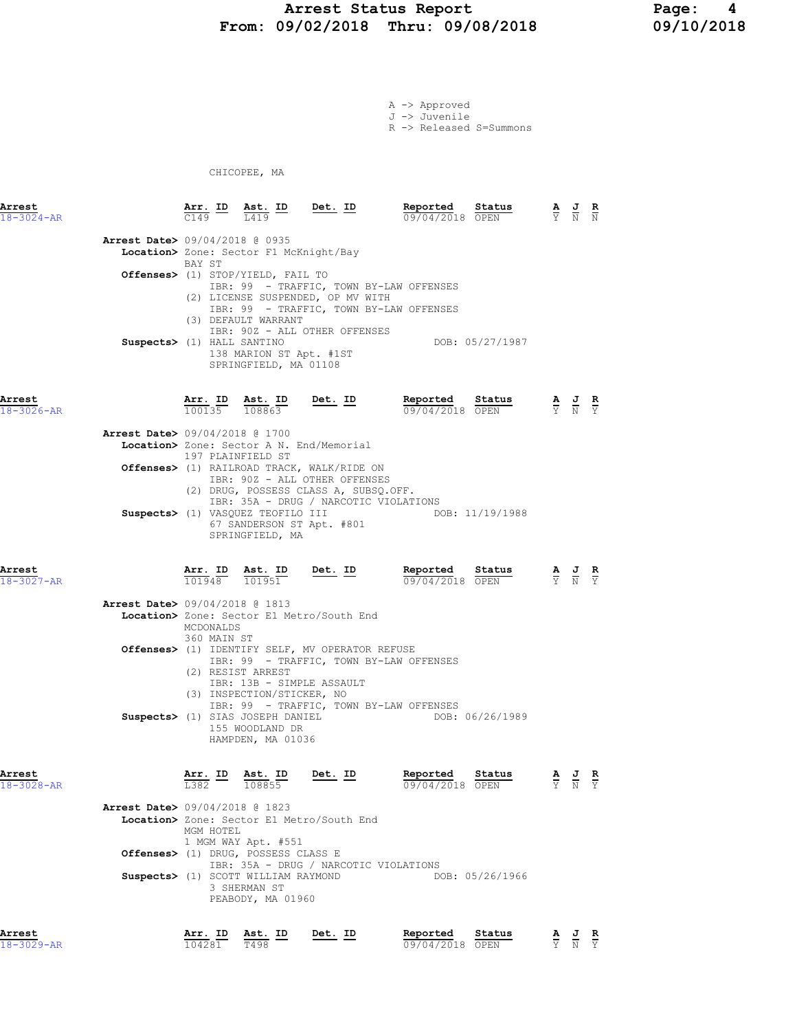## Arrest Status Report 199102/2018 Page: 4<br>19/02/2018 Thru: 09/08/2018 199/10/2018 From: 09/02/2018 Thru: 09/08/2018

A -> Approved J -> Juvenile R -> Released S=Summons

CHICOPEE, MA

| Arrest<br>$18 - 3024 - AR$ | Arr. ID<br>$\overline{c149}$                                                                                                                                    | Ast. ID<br>L419                                                                                                      | <u>Det. ID</u>                                                                                                                                                | Reported<br>09/04/2018 OPEN                                                                           | Status | $\frac{\mathbf{A}}{\mathbf{Y}}$ $\frac{\mathbf{J}}{\mathbf{N}}$ $\frac{\mathbf{R}}{\mathbf{N}}$ |
|----------------------------|-----------------------------------------------------------------------------------------------------------------------------------------------------------------|----------------------------------------------------------------------------------------------------------------------|---------------------------------------------------------------------------------------------------------------------------------------------------------------|-------------------------------------------------------------------------------------------------------|--------|-------------------------------------------------------------------------------------------------|
|                            | <b>Arrest Date&gt;</b> 09/04/2018 @ 0935<br>Location> Zone: Sector F1 McKnight/Bay<br>BAY ST<br>Offenses> (1) STOP/YIELD, FAIL TO<br>Suspects> (1) HALL SANTINO | (3) DEFAULT WARRANT<br>138 MARION ST Apt. #1ST<br>SPRINGFIELD, MA 01108                                              | (2) LICENSE SUSPENDED, OP MV WITH<br>IBR: 90Z - ALL OTHER OFFENSES                                                                                            | IBR: 99 - TRAFFIC, TOWN BY-LAW OFFENSES<br>IBR: 99 - TRAFFIC, TOWN BY-LAW OFFENSES<br>DOB: 05/27/1987 |        |                                                                                                 |
| Arrest<br>18-3026-AR       |                                                                                                                                                                 | Arr. ID Ast. ID<br>100135 108863                                                                                     | <u>Det. ID</u>                                                                                                                                                | Reported<br>09/04/2018 OPEN                                                                           | Status | $\frac{\mathbf{A}}{\mathbf{Y}}$ $\frac{\mathbf{J}}{\mathbf{N}}$ $\frac{\mathbf{R}}{\mathbf{Y}}$ |
|                            | <b>Arrest Date&gt;</b> 09/04/2018 @ 1700                                                                                                                        |                                                                                                                      |                                                                                                                                                               |                                                                                                       |        |                                                                                                 |
|                            | Location> Zone: Sector A N. End/Memorial                                                                                                                        | 197 PLAINFIELD ST                                                                                                    |                                                                                                                                                               |                                                                                                       |        |                                                                                                 |
|                            |                                                                                                                                                                 |                                                                                                                      | Offenses> (1) RAILROAD TRACK, WALK/RIDE ON<br>IBR: 90Z - ALL OTHER OFFENSES<br>(2) DRUG, POSSESS CLASS A, SUBSQ.OFF.<br>IBR: 35A - DRUG / NARCOTIC VIOLATIONS |                                                                                                       |        |                                                                                                 |
|                            | Suspects> (1) VASQUEZ TEOFILO III                                                                                                                               | 67 SANDERSON ST Apt. #801<br>SPRINGFIELD, MA                                                                         |                                                                                                                                                               | DOB: 11/19/1988                                                                                       |        |                                                                                                 |
| Arrest<br>18-3027-AR       |                                                                                                                                                                 | Arr. ID Ast. ID<br>101948 101951                                                                                     | Det. ID                                                                                                                                                       | Reported<br>09/04/2018 OPEN                                                                           | Status | $\frac{\mathbf{A}}{\mathbf{Y}}$ $\frac{\mathbf{J}}{\mathbf{N}}$<br>$\frac{R}{Y}$                |
|                            | <b>Arrest Date&gt;</b> 09/04/2018 @ 1813<br>MCDONALDS<br>360 MAIN ST                                                                                            |                                                                                                                      | Location> Zone: Sector E1 Metro/South End                                                                                                                     |                                                                                                       |        |                                                                                                 |
|                            |                                                                                                                                                                 |                                                                                                                      | <b>Offenses&gt;</b> (1) IDENTIFY SELF, MV OPERATOR REFUSE                                                                                                     |                                                                                                       |        |                                                                                                 |
|                            | Suspects> (1) SIAS JOSEPH DANIEL                                                                                                                                | (2) RESIST ARREST<br>IBR: 13B - SIMPLE ASSAULT<br>(3) INSPECTION/STICKER, NO<br>155 WOODLAND DR<br>HAMPDEN, MA 01036 |                                                                                                                                                               | IBR: 99 - TRAFFIC, TOWN BY-LAW OFFENSES<br>IBR: 99 - TRAFFIC, TOWN BY-LAW OFFENSES<br>DOB: 06/26/1989 |        |                                                                                                 |
| Arrest<br>18-3028-AR       | Arr. ID<br>L382                                                                                                                                                 | Ast. ID<br>108855                                                                                                    | <u>Det. ID</u>                                                                                                                                                | Reported<br>09/04/2018 OPEN                                                                           | Status | <u>AJR</u><br>Y N Y                                                                             |
|                            | <b>Arrest Date&gt;</b> 09/04/2018 @ 1823<br>MGM HOTEL                                                                                                           |                                                                                                                      | Location> Zone: Sector E1 Metro/South End                                                                                                                     |                                                                                                       |        |                                                                                                 |
|                            | Offenses> (1) DRUG, POSSESS CLASS E                                                                                                                             | 1 MGM WAY Apt. #551                                                                                                  |                                                                                                                                                               |                                                                                                       |        |                                                                                                 |
|                            | Suspects> (1) SCOTT WILLIAM RAYMOND                                                                                                                             | 3 SHERMAN ST<br>PEABODY, MA 01960                                                                                    | IBR: 35A - DRUG / NARCOTIC VIOLATIONS                                                                                                                         | DOB: 05/26/1966                                                                                       |        |                                                                                                 |
| Arrest                     |                                                                                                                                                                 | Arr. ID Ast. ID                                                                                                      | Det. ID                                                                                                                                                       | Reported                                                                                              | Status | A J R                                                                                           |

18-3029-AR 104281 T498 09/04/2018 OPEN Y N Y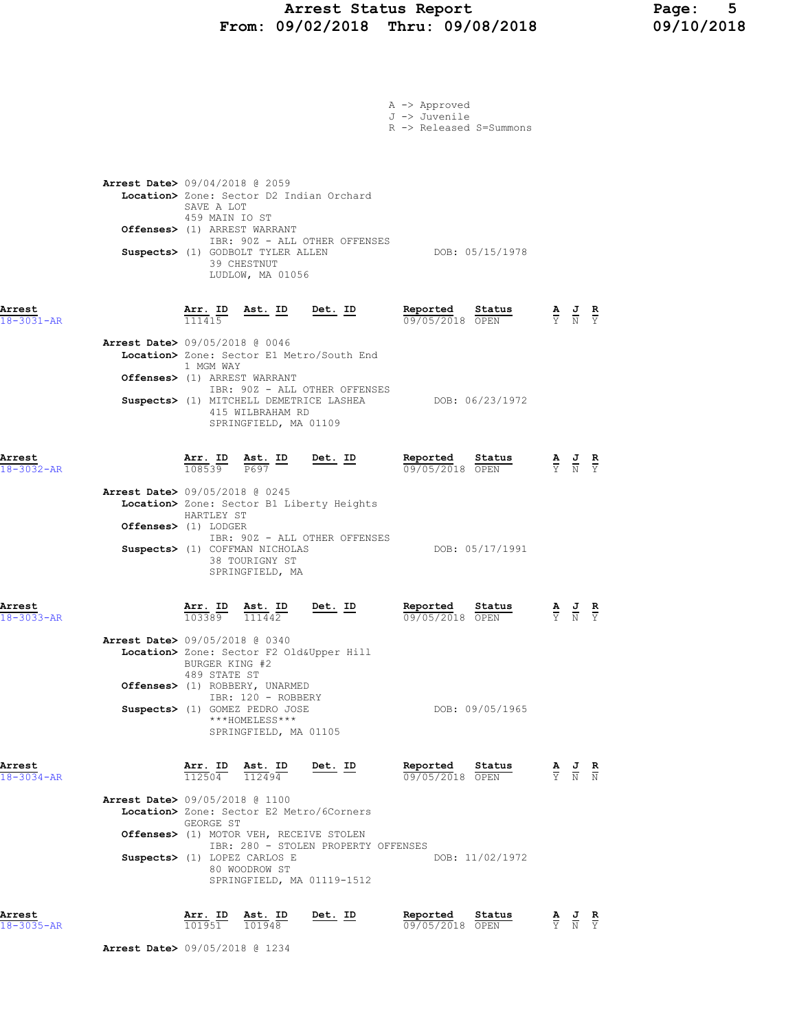## Arrest Status Report Page: 5 From: 09/02/2018 Thru: 09/08/2018 09/10/2018

|                                                                        |                                                                                                                                                        |                                                                          |                                                                                                                                                         | A -> Approved<br>J -> Juvenile<br>R -> Released S=Summons |                           |                                                                                                 |                                                                                                       |               |
|------------------------------------------------------------------------|--------------------------------------------------------------------------------------------------------------------------------------------------------|--------------------------------------------------------------------------|---------------------------------------------------------------------------------------------------------------------------------------------------------|-----------------------------------------------------------|---------------------------|-------------------------------------------------------------------------------------------------|-------------------------------------------------------------------------------------------------------|---------------|
| <b>Arrest Date&gt;</b> 09/04/2018 @ 2059                               | Location> Zone: Sector D2 Indian Orchard<br>SAVE A LOT<br>459 MAIN IO ST<br>Offenses> (1) ARREST WARRANT<br>Suspects> (1) GODBOLT TYLER ALLEN          | 39 CHESTNUT<br>LUDLOW, MA 01056                                          | IBR: 90Z - ALL OTHER OFFENSES                                                                                                                           |                                                           | DOB: 05/15/1978           |                                                                                                 |                                                                                                       |               |
| Arrest<br>18-3031-AR<br>Arrest Date> 09/05/2018 @ 0046                 | $\frac{\texttt{Arr.}}{111415}$<br>1 MGM WAY<br>Offenses> (1) ARREST WARRANT                                                                            | <u>Ast. ID</u><br>415 WILBRAHAM RD                                       | <u>Det. ID</u><br>Location> Zone: Sector E1 Metro/South End<br>IBR: 90Z - ALL OTHER OFFENSES<br>Suspects> (1) MITCHELL DEMETRICE LASHEA DOB: 06/23/1972 | Reported<br>09/05/2018 OPEN                               | St <u>atus</u>            | $\frac{\mathbf{A}}{\mathbf{Y}}$ $\frac{\mathbf{J}}{\mathbf{N}}$ $\frac{\mathbf{R}}{\mathbf{Y}}$ |                                                                                                       |               |
| Arrest<br>18-3032-AR<br><b>Arrest Date&gt; 09/05/2018 @ 0245</b>       | $\frac{\texttt{Arr. ID}}{108539}$ $\frac{\texttt{ Ast.}}{P697}$<br>HARTLEY ST<br>Offenses> (1) LODGER                                                  | SPRINGFIELD, MA 01109<br>$\frac{\text{Ast.}}{\text{P697}}$ ID            | $Det. ID$<br>Location> Zone: Sector B1 Liberty Heights<br>IBR: 90Z - ALL OTHER OFFENSES                                                                 | Reported<br>09/05/2018 OPEN                               | Status                    | $\frac{\mathbf{A}}{\mathbf{Y}}$ $\frac{\mathbf{J}}{\mathbf{N}}$                                 |                                                                                                       | $\frac{R}{Y}$ |
| Arrest<br>$18 - 3033 - AR$<br><b>Arrest Date&gt; 09/05/2018 @ 0340</b> | Suspects> (1) COFFMAN NICHOLAS<br><u>Arr. ID</u><br>103389<br>Location> Zone: Sector F2 Old&Upper Hill<br>BURGER KING #2                               | 38 TOURIGNY ST<br>SPRINGFIELD, MA<br>$\frac{\texttt{Ast.}}{111442}$      | Det. ID                                                                                                                                                 | Reported<br>09/05/2018 OPEN                               | DOB: 05/17/1991<br>Status | $\frac{\mathbf{A}}{\mathbf{Y}}$ $\frac{\mathbf{U}}{\mathbf{N}}$                                 |                                                                                                       | $\frac{R}{Y}$ |
| Arrest                                                                 | 489 STATE ST<br>Offenses> (1) ROBBERY, UNARMED<br>Suspects> (1) GOMEZ PEDRO JOSE<br>Arr. ID                                                            | IBR: 120 - ROBBERY<br>***HOMELESS***<br>SPRINGFIELD, MA 01105<br>Ast. ID | Det. ID                                                                                                                                                 | Reported                                                  | DOB: 09/05/1965<br>Status |                                                                                                 | $\frac{\mathbf{A}}{\mathbf{Y}}$ $\frac{\mathbf{J}}{\mathbf{N}}$ $\frac{\mathbf{R}}{\mathbf{N}}$       |               |
| 18-3034-AR<br><b>Arrest Date&gt; 09/05/2018 @ 1100</b>                 | $\frac{112504}{ }$<br>Location> Zone: Sector E2 Metro/6Corners<br>GEORGE ST<br>Offenses> (1) MOTOR VEH, RECEIVE STOLEN<br>Suspects> (1) LOPEZ CARLOS E | 112494<br>80 WOODROW ST<br>SPRINGFIELD, MA 01119-1512                    | IBR: 280 - STOLEN PROPERTY OFFENSES                                                                                                                     | 09/05/2018 OPEN                                           | DOB: 11/02/1972           |                                                                                                 |                                                                                                       |               |
| Arrest<br>18-3035-AR                                                   | <u>Arr. ID</u><br>101951                                                                                                                               | <u>Ast. ID</u><br>101948                                                 | <u>Det. ID</u>                                                                                                                                          | Reported<br>09/05/2018 OPEN                               | Status                    |                                                                                                 | $\frac{\mathbf{A}}{\overline{Y}}$ $\frac{\mathbf{J}}{\overline{N}}$ $\frac{\mathbf{R}}{\overline{Y}}$ |               |

Arrest Date> 09/05/2018 @ 1234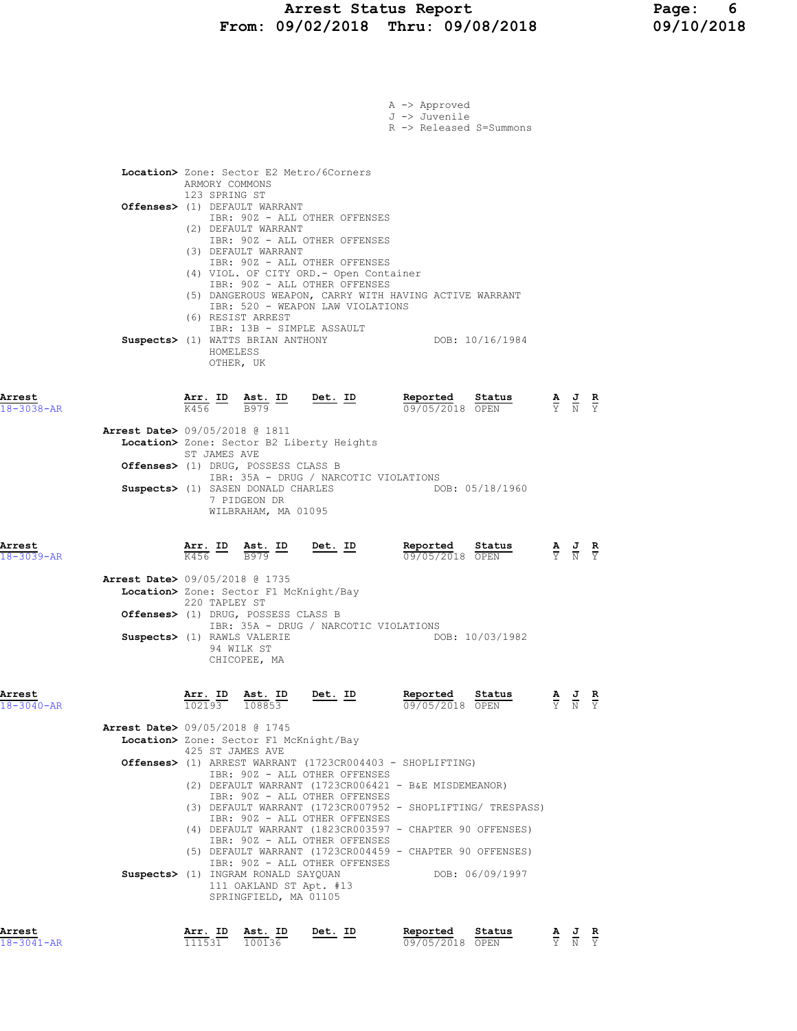|                            |                                          |                  |                                                                                         |                                                                                                                                               | $A \rightarrow$ Approved<br>J -> Juvenile<br>R -> Released S=Summons                                                 |                                                                                                           |                                           |       |  |
|----------------------------|------------------------------------------|------------------|-----------------------------------------------------------------------------------------|-----------------------------------------------------------------------------------------------------------------------------------------------|----------------------------------------------------------------------------------------------------------------------|-----------------------------------------------------------------------------------------------------------|-------------------------------------------|-------|--|
|                            |                                          | ARMORY COMMONS   |                                                                                         | <b>Location&gt;</b> Zone: Sector E2 Metro/6Corners                                                                                            |                                                                                                                      |                                                                                                           |                                           |       |  |
|                            |                                          | 123 SPRING ST    | Offenses> (1) DEFAULT WARRANT<br>(2) DEFAULT WARRANT                                    | IBR: 90Z - ALL OTHER OFFENSES<br>IBR: 90Z - ALL OTHER OFFENSES                                                                                |                                                                                                                      |                                                                                                           |                                           |       |  |
|                            |                                          |                  | (3) DEFAULT WARRANT<br>(6) RESIST ARREST<br>IBR: 13B - SIMPLE ASSAULT                   | IBR: 90Z - ALL OTHER OFFENSES<br>(4) VIOL. OF CITY ORD. - Open Container<br>IBR: 90Z - ALL OTHER OFFENSES<br>IBR: 520 - WEAPON LAW VIOLATIONS | (5) DANGEROUS WEAPON, CARRY WITH HAVING ACTIVE WARRANT                                                               |                                                                                                           |                                           |       |  |
|                            |                                          | HOMELESS         | Suspects> (1) WATTS BRIAN ANTHONY<br>OTHER, UK                                          |                                                                                                                                               |                                                                                                                      | DOB: 10/16/1984                                                                                           |                                           |       |  |
| Arrest<br>$18 - 3038 - AR$ |                                          |                  |                                                                                         | $\frac{\texttt{Arr.}}{K456}$ ID $\frac{\texttt{Ast.}}{B979}$ ID Det. ID                                                                       | Reported<br>09/05/2018 OPEN                                                                                          | Status<br>$\frac{\mathbf{A}}{\mathbf{Y}}$ $\frac{\mathbf{J}}{\mathbf{N}}$ $\frac{\mathbf{R}}{\mathbf{Y}}$ |                                           |       |  |
|                            | Arrest Date> 09/05/2018 @ 1811           | ST JAMES AVE     |                                                                                         | Location> Zone: Sector B2 Liberty Heights                                                                                                     |                                                                                                                      |                                                                                                           |                                           |       |  |
|                            |                                          |                  | Offenses> (1) DRUG, POSSESS CLASS B                                                     | IBR: 35A - DRUG / NARCOTIC VIOLATIONS                                                                                                         |                                                                                                                      |                                                                                                           |                                           |       |  |
|                            |                                          |                  | 7 PIDGEON DR<br>WILBRAHAM, MA 01095                                                     | Suspects> (1) SASEN DONALD CHARLES                                                                                                            |                                                                                                                      | DOB: 05/18/1960                                                                                           |                                           |       |  |
| Arrest<br>$18 - 3039 - AR$ |                                          |                  |                                                                                         | $\frac{\texttt{Arr.}}{\text{K456}}$ ID $\frac{\texttt{ Ast.}}{\text{B979}}$ ID Det. ID                                                        | Reported<br>09/05/2018 OPEN                                                                                          | Status                                                                                                    | $\frac{A}{Y}$ $\frac{J}{N}$ $\frac{R}{Y}$ |       |  |
|                            | <b>Arrest Date&gt;</b> 09/05/2018 @ 1735 | 220 TAPLEY ST    | Location> Zone: Sector F1 McKnight/Bay                                                  |                                                                                                                                               |                                                                                                                      |                                                                                                           |                                           |       |  |
|                            |                                          |                  | Offenses> (1) DRUG, POSSESS CLASS B                                                     | IBR: 35A - DRUG / NARCOTIC VIOLATIONS                                                                                                         |                                                                                                                      |                                                                                                           |                                           |       |  |
|                            | Suspects> (1) RAWLS VALERIE              |                  | 94 WILK ST<br>CHICOPEE, MA                                                              |                                                                                                                                               |                                                                                                                      | DOB: 10/03/1982                                                                                           |                                           |       |  |
| Arrest<br>$18 - 3040 - AR$ |                                          |                  | Arr. ID Ast. ID<br>102193 108853                                                        | Det. ID                                                                                                                                       | Reported                                                                                                             | <b>Reported</b> Status $\frac{A}{0.9}$ $\frac{J}{0.9}$ $\frac{R}{0.9}$                                    |                                           |       |  |
|                            | <b>Arrest Date&gt;</b> 09/05/2018 @ 1745 |                  | Location> Zone: Sector F1 McKnight/Bay                                                  |                                                                                                                                               |                                                                                                                      |                                                                                                           |                                           |       |  |
|                            |                                          | 425 ST JAMES AVE |                                                                                         |                                                                                                                                               | Offenses> (1) ARREST WARRANT (1723CR004403 - SHOPLIFTING)                                                            |                                                                                                           |                                           |       |  |
|                            |                                          |                  |                                                                                         | IBR: 90Z - ALL OTHER OFFENSES<br>IBR: 90Z - ALL OTHER OFFENSES<br>IBR: 90Z - ALL OTHER OFFENSES                                               | (2) DEFAULT WARRANT (1723CR006421 - B&E MISDEMEANOR)<br>(3) DEFAULT WARRANT (1723CR007952 - SHOPLIFTING/ TRESPASS)   |                                                                                                           |                                           |       |  |
|                            |                                          |                  |                                                                                         | IBR: 90Z - ALL OTHER OFFENSES                                                                                                                 | (4) DEFAULT WARRANT (1823CR003597 - CHAPTER 90 OFFENSES)<br>(5) DEFAULT WARRANT (1723CR004459 - CHAPTER 90 OFFENSES) |                                                                                                           |                                           |       |  |
|                            |                                          |                  | Suspects> (1) INGRAM RONALD SAYQUAN<br>111 OAKLAND ST Apt. #13<br>SPRINGFIELD, MA 01105 | IBR: 90Z - ALL OTHER OFFENSES                                                                                                                 |                                                                                                                      | DOB: 06/09/1997                                                                                           |                                           |       |  |
| Arrest                     |                                          |                  | Arr. ID Ast. ID                                                                         | Det. ID                                                                                                                                       | Reported                                                                                                             | Status                                                                                                    |                                           | A J R |  |

18-3041-AR 111531 100136 09/05/2018 OPEN Y N Y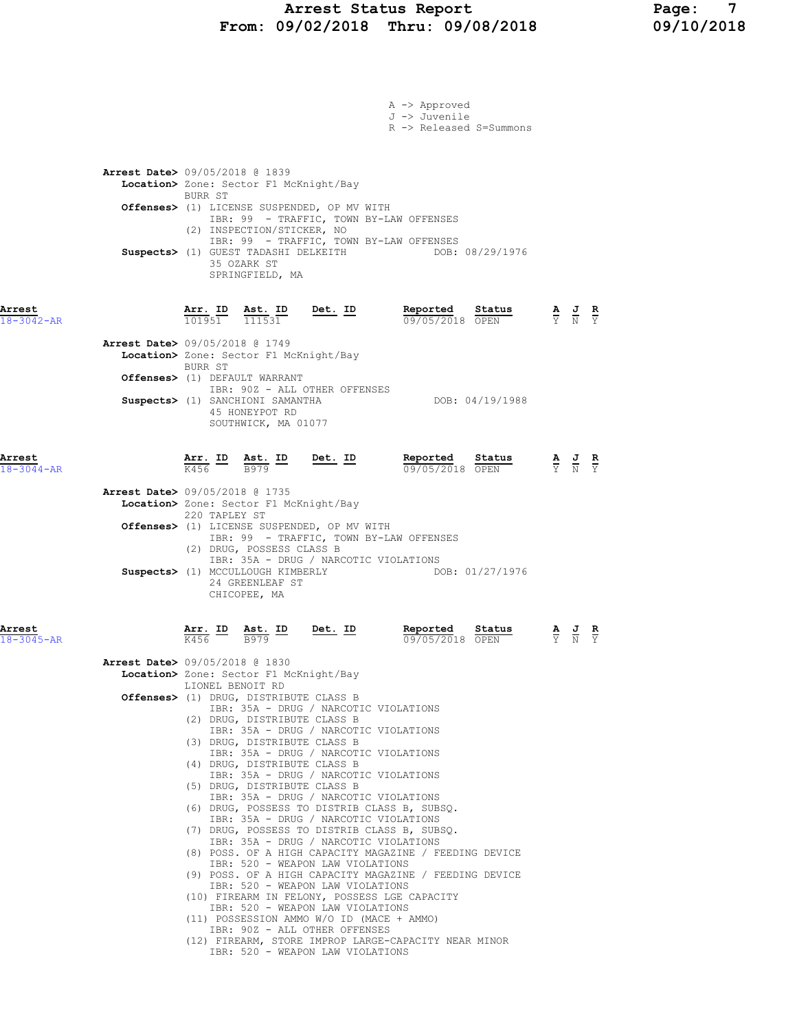## Arrest Status Report Page: 7 From: 09/02/2018 Thru: 09/08/2018 09/10/2018

|                            |                                                                                                                                                                                                                                                                                                                                                                                                                                                                                                                                                                                                                                                                                                                                                                                                                                                                                                                                                                                                                                                                                                                                                                                                        |                | A -> Approved                                                                                                                                                                                                                                                                                                              |  |  |
|----------------------------|--------------------------------------------------------------------------------------------------------------------------------------------------------------------------------------------------------------------------------------------------------------------------------------------------------------------------------------------------------------------------------------------------------------------------------------------------------------------------------------------------------------------------------------------------------------------------------------------------------------------------------------------------------------------------------------------------------------------------------------------------------------------------------------------------------------------------------------------------------------------------------------------------------------------------------------------------------------------------------------------------------------------------------------------------------------------------------------------------------------------------------------------------------------------------------------------------------|----------------|----------------------------------------------------------------------------------------------------------------------------------------------------------------------------------------------------------------------------------------------------------------------------------------------------------------------------|--|--|
|                            |                                                                                                                                                                                                                                                                                                                                                                                                                                                                                                                                                                                                                                                                                                                                                                                                                                                                                                                                                                                                                                                                                                                                                                                                        |                | J -> Juvenile<br>R -> Released S=Summons                                                                                                                                                                                                                                                                                   |  |  |
|                            | <b>Arrest Date&gt; 09/05/2018 @ 1839</b><br>Location> Zone: Sector F1 McKnight/Bay<br>BURR ST                                                                                                                                                                                                                                                                                                                                                                                                                                                                                                                                                                                                                                                                                                                                                                                                                                                                                                                                                                                                                                                                                                          |                |                                                                                                                                                                                                                                                                                                                            |  |  |
|                            | Offenses> (1) LICENSE SUSPENDED, OP MV WITH<br>IBR: 99 - TRAFFIC, TOWN BY-LAW OFFENSES<br>(2) INSPECTION/STICKER, NO                                                                                                                                                                                                                                                                                                                                                                                                                                                                                                                                                                                                                                                                                                                                                                                                                                                                                                                                                                                                                                                                                   |                |                                                                                                                                                                                                                                                                                                                            |  |  |
|                            | IBR: 99 - TRAFFIC, TOWN BY-LAW OFFENSES<br>35 OZARK ST<br>SPRINGFIELD, MA                                                                                                                                                                                                                                                                                                                                                                                                                                                                                                                                                                                                                                                                                                                                                                                                                                                                                                                                                                                                                                                                                                                              |                | Suspects> (1) GUEST TADASHI DELKEITH DOB: 08/29/1976                                                                                                                                                                                                                                                                       |  |  |
| Arrest<br>18-3042-AR       |                                                                                                                                                                                                                                                                                                                                                                                                                                                                                                                                                                                                                                                                                                                                                                                                                                                                                                                                                                                                                                                                                                                                                                                                        |                | $\frac{\texttt{Arr. ID}}{101951} \quad \frac{\texttt{Ast. ID}}{111531} \qquad \frac{\texttt{Det. ID}}{\texttt{Det.}} \qquad \frac{\texttt{Reported}}{09/05/2018} \quad \frac{\texttt{Status}}{\texttt{OPEN}} \qquad \frac{\texttt{A}}{\texttt{Y}} \quad \frac{\texttt{J}}{\texttt{N}} \quad \frac{\texttt{R}}{\texttt{Y}}$ |  |  |
|                            | Arrest Date> 09/05/2018 @ 1749<br>Location> Zone: Sector F1 McKnight/Bay<br>BURR ST                                                                                                                                                                                                                                                                                                                                                                                                                                                                                                                                                                                                                                                                                                                                                                                                                                                                                                                                                                                                                                                                                                                    |                |                                                                                                                                                                                                                                                                                                                            |  |  |
|                            | Offenses> (1) DEFAULT WARRANT<br>IBR: 90Z - ALL OTHER OFFENSES<br>Suspects> (1) SANCHIONI SAMANTHA<br>45 HONEYPOT RD<br>SOUTHWICK, MA 01077                                                                                                                                                                                                                                                                                                                                                                                                                                                                                                                                                                                                                                                                                                                                                                                                                                                                                                                                                                                                                                                            |                | DOB: 04/19/1988                                                                                                                                                                                                                                                                                                            |  |  |
| Arrest<br>$18 - 3044 - AR$ |                                                                                                                                                                                                                                                                                                                                                                                                                                                                                                                                                                                                                                                                                                                                                                                                                                                                                                                                                                                                                                                                                                                                                                                                        |                | <b>Arr.</b> ID Ast. ID Det. ID Reported Status A J R<br>$\frac{1}{1456}$ $\frac{1}{12979}$ $\frac{1}{124}$ $\frac{1}{124}$ $\frac{1}{124}$ $\frac{1}{124}$ $\frac{1}{124}$ $\frac{1}{124}$ $\frac{1}{124}$ $\frac{1}{124}$ $\frac{1}{124}$ $\frac{1}{124}$ $\frac{1}{124}$ $\frac{1}{124}$ $\$<br>09/05/2018 OPEN          |  |  |
|                            | Arrest Date> 09/05/2018 @ 1735<br>Location> Zone: Sector F1 McKnight/Bay<br>220 TAPLEY ST<br>Offenses> (1) LICENSE SUSPENDED, OP MV WITH<br>IBR: 99 - TRAFFIC, TOWN BY-LAW OFFENSES<br>(2) DRUG, POSSESS CLASS B<br>IBR: 35A - DRUG / NARCOTIC VIOLATIONS<br>24 GREENLEAF ST<br>CHICOPEE, MA                                                                                                                                                                                                                                                                                                                                                                                                                                                                                                                                                                                                                                                                                                                                                                                                                                                                                                           |                | Suspects> (1) MCCULLOUGH KIMBERLY DOB: 01/27/1976                                                                                                                                                                                                                                                                          |  |  |
| Arrest<br>$18 - 3045 - AR$ | $\frac{\texttt{Arr.}}{\text{K456}}$ ID<br>Ast. ID<br>B979<br><b>Arrest Date&gt;</b> 09/05/2018 @ 1830<br>Location> Zone: Sector F1 McKnight/Bay<br>LIONEL BENOIT RD<br>Offenses> (1) DRUG, DISTRIBUTE CLASS B<br>IBR: 35A - DRUG / NARCOTIC VIOLATIONS<br>(2) DRUG, DISTRIBUTE CLASS B<br>IBR: 35A - DRUG / NARCOTIC VIOLATIONS<br>(3) DRUG, DISTRIBUTE CLASS B<br>IBR: 35A - DRUG / NARCOTIC VIOLATIONS<br>(4) DRUG, DISTRIBUTE CLASS B<br>IBR: 35A - DRUG / NARCOTIC VIOLATIONS<br>(5) DRUG, DISTRIBUTE CLASS B<br>IBR: 35A - DRUG / NARCOTIC VIOLATIONS<br>(6) DRUG, POSSESS TO DISTRIB CLASS B, SUBSQ.<br>IBR: 35A - DRUG / NARCOTIC VIOLATIONS<br>(7) DRUG, POSSESS TO DISTRIB CLASS B, SUBSQ.<br>IBR: 35A - DRUG / NARCOTIC VIOLATIONS<br>(8) POSS. OF A HIGH CAPACITY MAGAZINE / FEEDING DEVICE<br>IBR: 520 - WEAPON LAW VIOLATIONS<br>(9) POSS. OF A HIGH CAPACITY MAGAZINE / FEEDING DEVICE<br>IBR: 520 - WEAPON LAW VIOLATIONS<br>(10) FIREARM IN FELONY, POSSESS LGE CAPACITY<br>IBR: 520 - WEAPON LAW VIOLATIONS<br>(11) POSSESSION AMMO W/O ID (MACE + AMMO)<br>IBR: 90Z - ALL OTHER OFFENSES<br>(12) FIREARM, STORE IMPROP LARGE-CAPACITY NEAR MINOR<br>IBR: 520 - WEAPON LAW VIOLATIONS | <u>Det.</u> ID | Reported Status<br>09/05/2018 OPEN                                                                                                                                                                                                                                                                                         |  |  |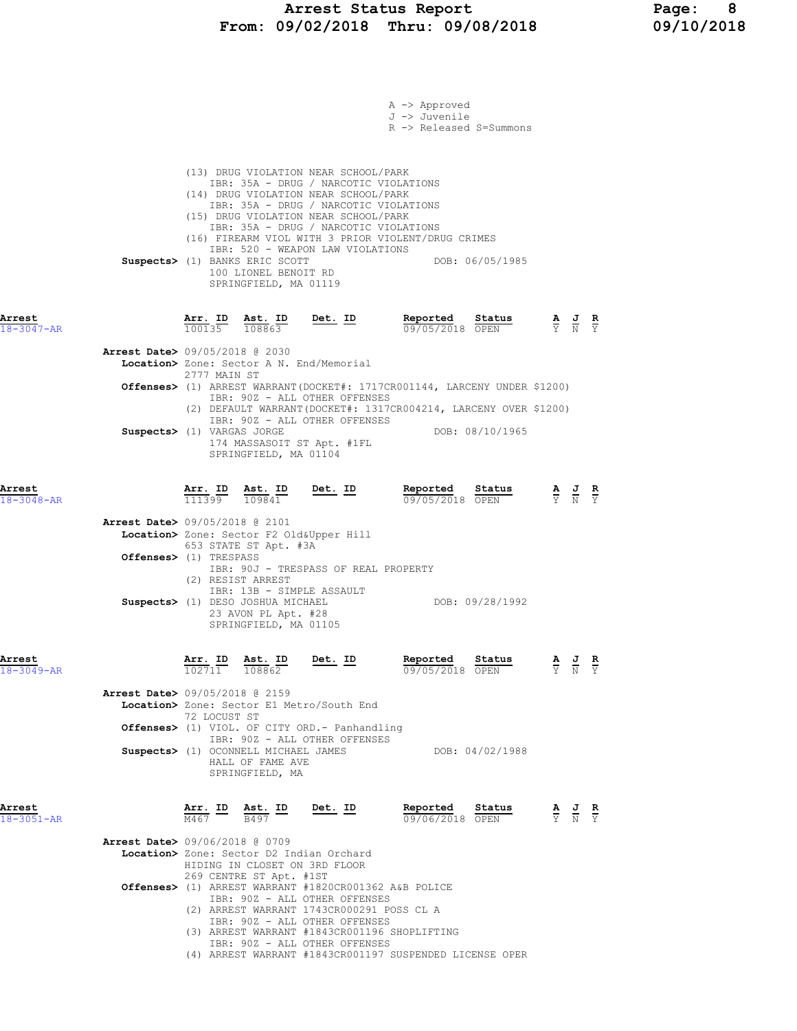|                            |                                                                                                                                                                                                                                                                                  |                                                                                                                                                             | A -> Approved<br>J -> Juvenile<br>R -> Released S=Summons                           |                                                                                                       |  |
|----------------------------|----------------------------------------------------------------------------------------------------------------------------------------------------------------------------------------------------------------------------------------------------------------------------------|-------------------------------------------------------------------------------------------------------------------------------------------------------------|-------------------------------------------------------------------------------------|-------------------------------------------------------------------------------------------------------|--|
|                            | (13) DRUG VIOLATION NEAR SCHOOL/PARK<br>(14) DRUG VIOLATION NEAR SCHOOL/PARK<br>(15) DRUG VIOLATION NEAR SCHOOL/PARK<br>(16) FIREARM VIOL WITH 3 PRIOR VIOLENT/DRUG CRIMES<br>Suspects> (1) BANKS ERIC SCOTT<br>100 LIONEL BENOIT RD<br>SPRINGFIELD, MA 01119                    | IBR: 35A - DRUG / NARCOTIC VIOLATIONS<br>IBR: 35A - DRUG / NARCOTIC VIOLATIONS<br>IBR: 35A - DRUG / NARCOTIC VIOLATIONS<br>IBR: 520 - WEAPON LAW VIOLATIONS | DOB: 06/05/1985                                                                     |                                                                                                       |  |
| Arrest<br>$18 - 3047 - AR$ | Arr. ID<br><u>Ast. ID</u><br>$\frac{100135}{}$<br>108863                                                                                                                                                                                                                         | Det. ID                                                                                                                                                     | Reported<br>Status<br>09/05/2018 OPEN                                               | $\frac{\mathbf{A}}{\mathbf{Y}}$ $\frac{\mathbf{J}}{\mathbf{N}}$ $\frac{\mathbf{R}}{\mathbf{Y}}$       |  |
|                            | <b>Arrest Date&gt;</b> 09/05/2018 @ 2030<br>Location> Zone: Sector A N. End/Memorial                                                                                                                                                                                             |                                                                                                                                                             |                                                                                     |                                                                                                       |  |
|                            | 2777 MAIN ST                                                                                                                                                                                                                                                                     |                                                                                                                                                             | <b>Offenses&gt;</b> (1) ARREST WARRANT(DOCKET#: 1717CR001144, LARCENY UNDER \$1200) |                                                                                                       |  |
|                            | IBR: 90Z - ALL OTHER OFFENSES<br>Suspects> (1) VARGAS JORGE<br>174 MASSASOIT ST Apt. #1FL<br>SPRINGFIELD, MA 01104                                                                                                                                                               | IBR: 90Z - ALL OTHER OFFENSES                                                                                                                               | (2) DEFAULT WARRANT (DOCKET#: 1317CR004214, LARCENY OVER \$1200)<br>DOB: 08/10/1965 |                                                                                                       |  |
| Arrest<br>18-3048-AR       | $\frac{\texttt{Arr.}}{111399}$ $\frac{\texttt{ Ast.}}{109841}$                                                                                                                                                                                                                   | <u>Det.</u> ID                                                                                                                                              | Reported<br>Status<br>09/05/2018 OPEN                                               | $\frac{\mathbf{A}}{\overline{Y}}$ $\frac{\mathbf{J}}{\overline{N}}$ $\frac{\mathbf{R}}{\overline{Y}}$ |  |
|                            | Arrest Date> 09/05/2018 @ 2101<br>Location> Zone: Sector F2 Old&Upper Hill<br>653 STATE ST Apt. #3A<br>Offenses> (1) TRESPASS                                                                                                                                                    |                                                                                                                                                             |                                                                                     |                                                                                                       |  |
|                            | (2) RESIST ARREST<br>IBR: 13B - SIMPLE ASSAULT<br>Suspects> (1) DESO JOSHUA MICHAEL<br>23 AVON PL Apt. #28<br>SPRINGFIELD, MA 01105                                                                                                                                              | IBR: 90J - TRESPASS OF REAL PROPERTY                                                                                                                        | DOB: 09/28/1992                                                                     |                                                                                                       |  |
| Arrest<br>$18 - 3049 - AR$ | Arr. ID Ast. ID<br>$102711$ $108862$                                                                                                                                                                                                                                             | Det. ID                                                                                                                                                     | Reported Status<br>09/05/2018 OPEN                                                  | AJR<br>$\overline{Y}$ $\overline{N}$ $\overline{Y}$                                                   |  |
|                            | <b>Arrest Date&gt;</b> 09/05/2018 @ 2159<br>Location> Zone: Sector E1 Metro/South End<br>72 LOCUST ST<br><b>Offenses&gt;</b> (1) VIOL. OF CITY ORD.- Panhandling<br>IBR: 90Z - ALL OTHER OFFENSES<br>Suspects> (1) OCONNELL MICHAEL JAMES<br>HALL OF FAME AVE<br>SPRINGFIELD, MA |                                                                                                                                                             | DOB: 04/02/1988                                                                     |                                                                                                       |  |
| Arrest<br>$18 - 3051 - AR$ | Arr. ID<br>Ast. ID<br>B497<br>M467                                                                                                                                                                                                                                               | Det. ID                                                                                                                                                     | Reported<br>Status<br>09/06/2018 OPEN                                               | $\frac{\mathbf{A}}{\mathbf{Y}}$ $\frac{\mathbf{J}}{\mathbf{N}}$ $\frac{\mathbf{R}}{\mathbf{Y}}$       |  |
|                            | <b>Arrest Date&gt;</b> 09/06/2018 @ 0709<br>Location> Zone: Sector D2 Indian Orchard<br>HIDING IN CLOSET ON 3RD FLOOR<br>269 CENTRE ST Apt. #1ST                                                                                                                                 |                                                                                                                                                             |                                                                                     |                                                                                                       |  |
|                            | Offenses> (1) ARREST WARRANT #1820CR001362 A&B POLICE<br>IBR: 90Z - ALL OTHER OFFENSES<br>(2) ARREST WARRANT 1743CR000291 POSS CL A<br>IBR: 90Z - ALL OTHER OFFENSES<br>(3) ARREST WARRANT #1843CR001196 SHOPLIFTING<br>IBR: 90Z - ALL OTHER OFFENSES                            |                                                                                                                                                             | (4) ARREST WARRANT #1843CR001197 SUSPENDED LICENSE OPER                             |                                                                                                       |  |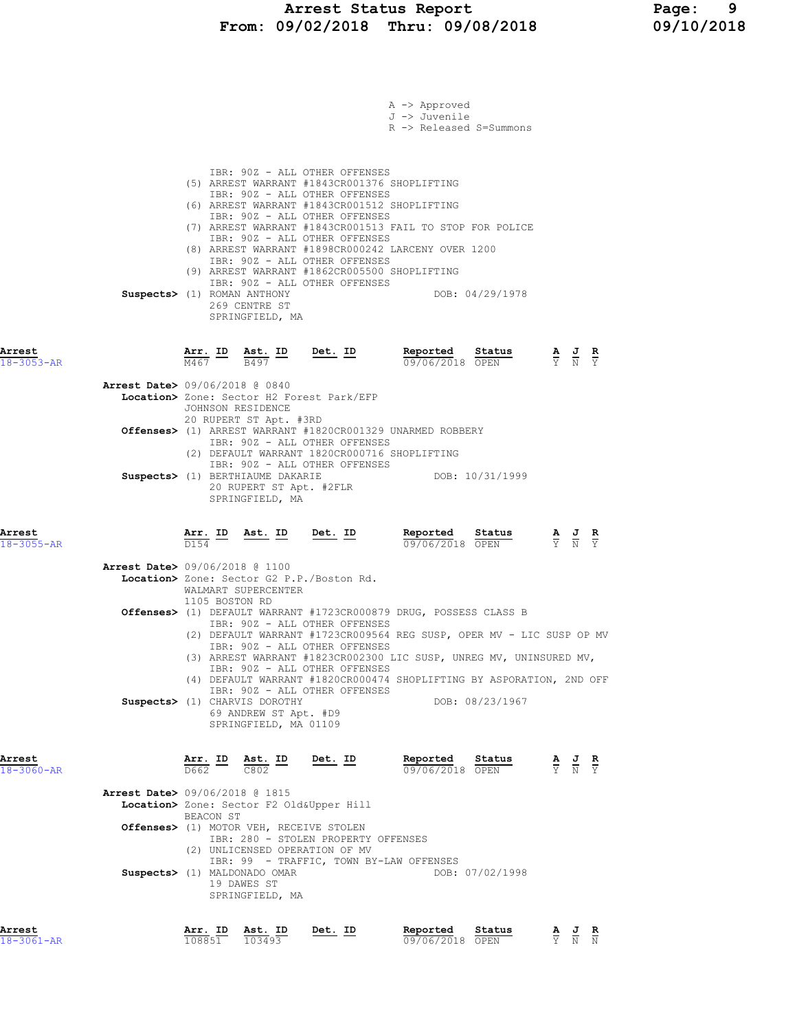|                                                          | A -> Approved<br>J -> Juvenile<br>R -> Released S=Summons                                                                                                                                                                                                                                                                                                                                                                                                                                                                                                  |  |
|----------------------------------------------------------|------------------------------------------------------------------------------------------------------------------------------------------------------------------------------------------------------------------------------------------------------------------------------------------------------------------------------------------------------------------------------------------------------------------------------------------------------------------------------------------------------------------------------------------------------------|--|
|                                                          | IBR: 90Z - ALL OTHER OFFENSES<br>(5) ARREST WARRANT #1843CR001376 SHOPLIFTING<br>IBR: 90Z - ALL OTHER OFFENSES<br>(6) ARREST WARRANT #1843CR001512 SHOPLIFTING<br>IBR: 90Z - ALL OTHER OFFENSES<br>(7) ARREST WARRANT #1843CR001513 FAIL TO STOP FOR POLICE<br>IBR: 90Z - ALL OTHER OFFENSES<br>(8) ARREST WARRANT #1898CR000242 LARCENY OVER 1200<br>IBR: 90Z - ALL OTHER OFFENSES<br>(9) ARREST WARRANT #1862CR005500 SHOPLIFTING<br>IBR: 90Z - ALL OTHER OFFENSES<br>Suspects> (1) ROMAN ANTHONY<br>DOB: 04/29/1978<br>269 CENTRE ST<br>SPRINGFIELD, MA |  |
| Arrest<br>$18 - 3053 - AR$                               | $\frac{\texttt{Arr.}}{\texttt{M467}}$ ID $\frac{\texttt{ Ast.}}{\texttt{B497}}$ ID<br><u>Det. ID</u><br>Reported Status<br><b>Reported Status</b> $\frac{A}{Y}$ <b>J R</b><br>$\frac{B}{Y}$ $\frac{S}{N}$ <b>EX</b>                                                                                                                                                                                                                                                                                                                                        |  |
|                                                          | Arrest Date> 09/06/2018 @ 0840<br>Location> Zone: Sector H2 Forest Park/EFP<br>JOHNSON RESIDENCE                                                                                                                                                                                                                                                                                                                                                                                                                                                           |  |
|                                                          | 20 RUPERT ST Apt. #3RD<br>Offenses> (1) ARREST WARRANT #1820CR001329 UNARMED ROBBERY<br>IBR: 90Z - ALL OTHER OFFENSES<br>(2) DEFAULT WARRANT 1820CR000716 SHOPLIFTING                                                                                                                                                                                                                                                                                                                                                                                      |  |
|                                                          | IBR: 90Z - ALL OTHER OFFENSES<br>DOB: 10/31/1999<br>Suspects> (1) BERTHIAUME DAKARIE<br>20 RUPERT ST Apt. #2FLR<br>SPRINGFIELD, MA                                                                                                                                                                                                                                                                                                                                                                                                                         |  |
|                                                          |                                                                                                                                                                                                                                                                                                                                                                                                                                                                                                                                                            |  |
|                                                          | Reported<br>Arr. ID<br><u>Ast. ID</u><br><u>Det. ID</u><br>Status<br>$\frac{\mathbf{A}}{\mathbf{Y}}$ $\frac{\mathbf{J}}{\mathbf{N}}$<br>D154<br>09/06/2018 OPEN                                                                                                                                                                                                                                                                                                                                                                                            |  |
|                                                          | Arrest Date> 09/06/2018 @ 1100<br>Location> Zone: Sector G2 P.P./Boston Rd.<br>WALMART SUPERCENTER                                                                                                                                                                                                                                                                                                                                                                                                                                                         |  |
|                                                          | 1105 BOSTON RD<br>Offenses> (1) DEFAULT WARRANT #1723CR000879 DRUG, POSSESS CLASS B<br>IBR: 90Z - ALL OTHER OFFENSES<br>(2) DEFAULT WARRANT #1723CR009564 REG SUSP, OPER MV - LIC SUSP OP MV<br>IBR: 90Z - ALL OTHER OFFENSES<br>(3) ARREST WARRANT #1823CR002300 LIC SUSP, UNREG MV, UNINSURED MV,<br>IBR: 90Z - ALL OTHER OFFENSES<br>(4) DEFAULT WARRANT #1820CR000474 SHOPLIFTING BY ASPORATION, 2ND OFF                                                                                                                                               |  |
|                                                          | IBR: 90Z - ALL OTHER OFFENSES<br>DOB: 08/23/1967<br>Suspects> (1) CHARVIS DOROTHY<br>69 ANDREW ST Apt. #D9<br>SPRINGFIELD, MA 01109                                                                                                                                                                                                                                                                                                                                                                                                                        |  |
|                                                          | Arr. ID<br>$\frac{\texttt{Ast.}}{\texttt{C802}}$ ID<br><u>Det. ID</u><br><b>Reported</b> Status $\frac{A}{0.9}$ $\frac{J}{0.6}$ $\frac{R}{20}$ $\frac{B}{0.8}$<br>$\overline{D662}$                                                                                                                                                                                                                                                                                                                                                                        |  |
|                                                          | <b>Arrest Date&gt;</b> 09/06/2018 @ 1815<br>Location> Zone: Sector F2 Old&Upper Hill                                                                                                                                                                                                                                                                                                                                                                                                                                                                       |  |
|                                                          | BEACON ST<br>Offenses> (1) MOTOR VEH, RECEIVE STOLEN<br>IBR: 280 - STOLEN PROPERTY OFFENSES<br>(2) UNLICENSED OPERATION OF MV                                                                                                                                                                                                                                                                                                                                                                                                                              |  |
| Arrest<br>$18 - 3055 - AR$<br>Arrest<br>$18 - 3060 - AR$ | IBR: 99 - TRAFFIC, TOWN BY-LAW OFFENSES<br>Suspects> (1) MALDONADO OMAR<br>DOB: 07/02/1998<br>19 DAWES ST<br>SPRINGFIELD, MA                                                                                                                                                                                                                                                                                                                                                                                                                               |  |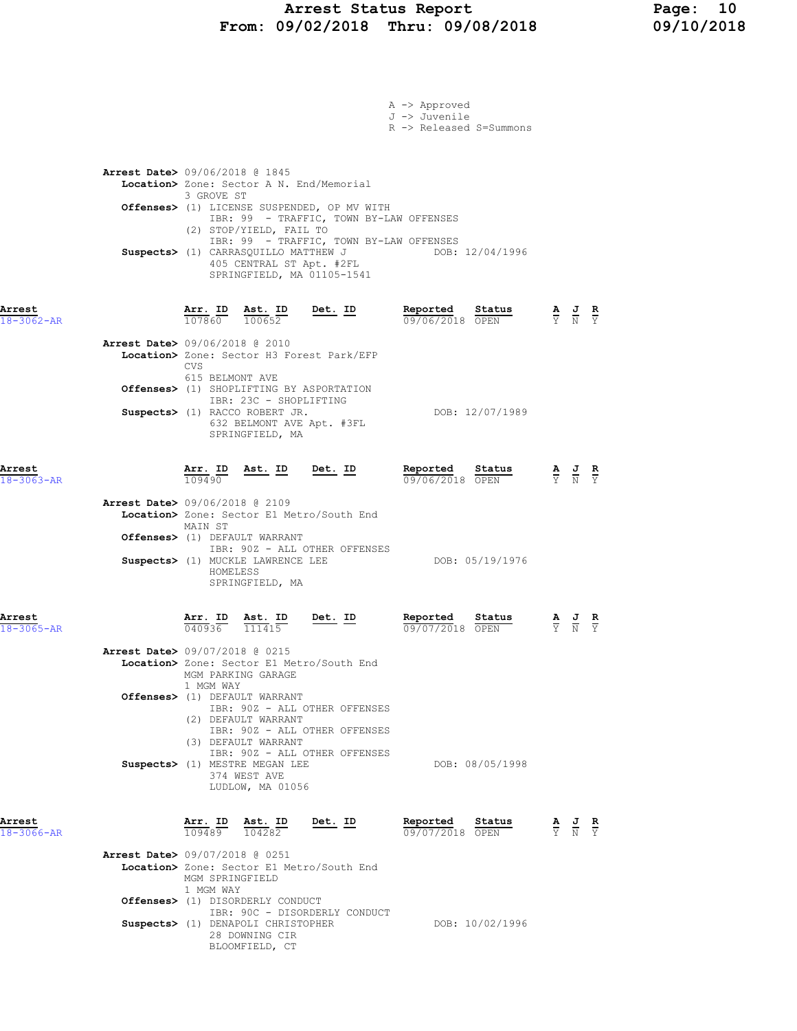# Arrest Status Report Page: 10<br>19/02/2018 Thru: 09/08/2018 09/10/2018 From: 09/02/2018 Thru: 09/08/2018

|                            |                                          |                               |                                                                                          |                                                                                                                                                   | A -> Approved<br>J -> Juvenile<br>R -> Released S=Summons                                                                                  |                                                                                                       |  |
|----------------------------|------------------------------------------|-------------------------------|------------------------------------------------------------------------------------------|---------------------------------------------------------------------------------------------------------------------------------------------------|--------------------------------------------------------------------------------------------------------------------------------------------|-------------------------------------------------------------------------------------------------------|--|
|                            | <b>Arrest Date&gt;</b> 09/06/2018 @ 1845 | 3 GROVE ST                    | (2) STOP/YIELD, FAIL TO                                                                  | Location> Zone: Sector A N. End/Memorial<br>Offenses> (1) LICENSE SUSPENDED, OP MV WITH<br>405 CENTRAL ST Apt. #2FL<br>SPRINGFIELD, MA 01105-1541 | IBR: 99 - TRAFFIC, TOWN BY-LAW OFFENSES<br>IBR: 99 - TRAFFIC, TOWN BY-LAW OFFENSES<br>Suspects> (1) CARRASQUILLO MATTHEW J DOB: 12/04/1996 |                                                                                                       |  |
| Arrest<br>$18 - 3062 - AR$ |                                          | 107860 100652                 | Arr. ID Ast. ID                                                                          | $Det. ID$                                                                                                                                         | Reported<br>Status<br>09/06/2018 OPEN                                                                                                      | $\frac{\mathbf{A}}{\mathbf{Y}}$ $\frac{\mathbf{J}}{\mathbf{N}}$ $\frac{\mathbf{R}}{\mathbf{Y}}$       |  |
|                            | <b>Arrest Date&gt; 09/06/2018 @ 2010</b> | <b>CVS</b><br>615 BELMONT AVE | IBR: 23C - SHOPLIFTING<br>Suspects> (1) RACCO ROBERT JR.                                 | Location> Zone: Sector H3 Forest Park/EFP<br>Offenses> (1) SHOPLIFTING BY ASPORTATION                                                             | DOB: 12/07/1989                                                                                                                            |                                                                                                       |  |
|                            |                                          |                               | SPRINGFIELD, MA                                                                          | 632 BELMONT AVE Apt. #3FL                                                                                                                         |                                                                                                                                            |                                                                                                       |  |
| Arrest<br>$18 - 3063 - AR$ | Arrest Date> 09/06/2018 @ 2109           | Arr. ID<br>109490             | <u>Ast. ID</u>                                                                           | <u>Det. ID</u><br>Location> Zone: Sector E1 Metro/South End                                                                                       | Reported<br>Status<br>09/06/2018 OPEN                                                                                                      | $\frac{\mathbf{A}}{\overline{Y}}$ $\frac{\mathbf{J}}{\overline{N}}$ $\frac{\mathbf{R}}{\overline{Y}}$ |  |
|                            |                                          | MAIN ST<br>HOMELESS           | Offenses> (1) DEFAULT WARRANT<br>Suspects> (1) MUCKLE LAWRENCE LEE<br>SPRINGFIELD, MA    | IBR: 90Z - ALL OTHER OFFENSES                                                                                                                     | DOB: 05/19/1976                                                                                                                            |                                                                                                       |  |
| Arrest<br>18-3065-AR       | Arrest Date> 09/07/2018 @ 0215           | $\frac{\text{Arr.}}{040936}$  | Ast. ID<br>111415                                                                        | Det. ID                                                                                                                                           | Reported<br>Status<br>09/07/2018 OPEN                                                                                                      | $\frac{\mathbf{A}}{\mathbf{Y}}$ $\frac{\mathbf{J}}{\mathbf{N}}$ $\frac{\mathbf{R}}{\mathbf{Y}}$       |  |
|                            |                                          | 1 MGM WAY                     | MGM PARKING GARAGE                                                                       | Location> Zone: Sector E1 Metro/South End                                                                                                         |                                                                                                                                            |                                                                                                       |  |
|                            |                                          |                               | Offenses> (1) DEFAULT WARRANT<br>(2) DEFAULT WARRANT<br>(3) DEFAULT WARRANT              | IBR: 90Z - ALL OTHER OFFENSES<br>IBR: 90Z - ALL OTHER OFFENSES<br>IBR: 90Z - ALL OTHER OFFENSES                                                   |                                                                                                                                            |                                                                                                       |  |
|                            |                                          |                               | Suspects> (1) MESTRE MEGAN LEE<br>374 WEST AVE<br>LUDLOW, MA 01056                       |                                                                                                                                                   | DOB: 08/05/1998                                                                                                                            |                                                                                                       |  |
| Arrest<br>18-3066-AR       |                                          | Arr. ID<br>109489             | Ast. ID<br>104282                                                                        | Det. ID                                                                                                                                           | Reported<br>Status<br>09/07/2018 OPEN                                                                                                      | $\frac{\mathbf{A}}{\overline{Y}}$ $\frac{\mathbf{J}}{\overline{N}}$ $\frac{\mathbf{R}}{\overline{Y}}$ |  |
|                            | <b>Arrest Date&gt; 09/07/2018 @ 0251</b> | MGM SPRINGFIELD<br>1 MGM WAY  |                                                                                          | Location> Zone: Sector E1 Metro/South End                                                                                                         |                                                                                                                                            |                                                                                                       |  |
|                            |                                          |                               | Offenses> (1) DISORDERLY CONDUCT<br>Suspects> (1) DENAPOLI CHRISTOPHER<br>28 DOWNING CIR | IBR: 90C - DISORDERLY CONDUCT                                                                                                                     | DOB: 10/02/1996                                                                                                                            |                                                                                                       |  |

BLOOMFIELD, CT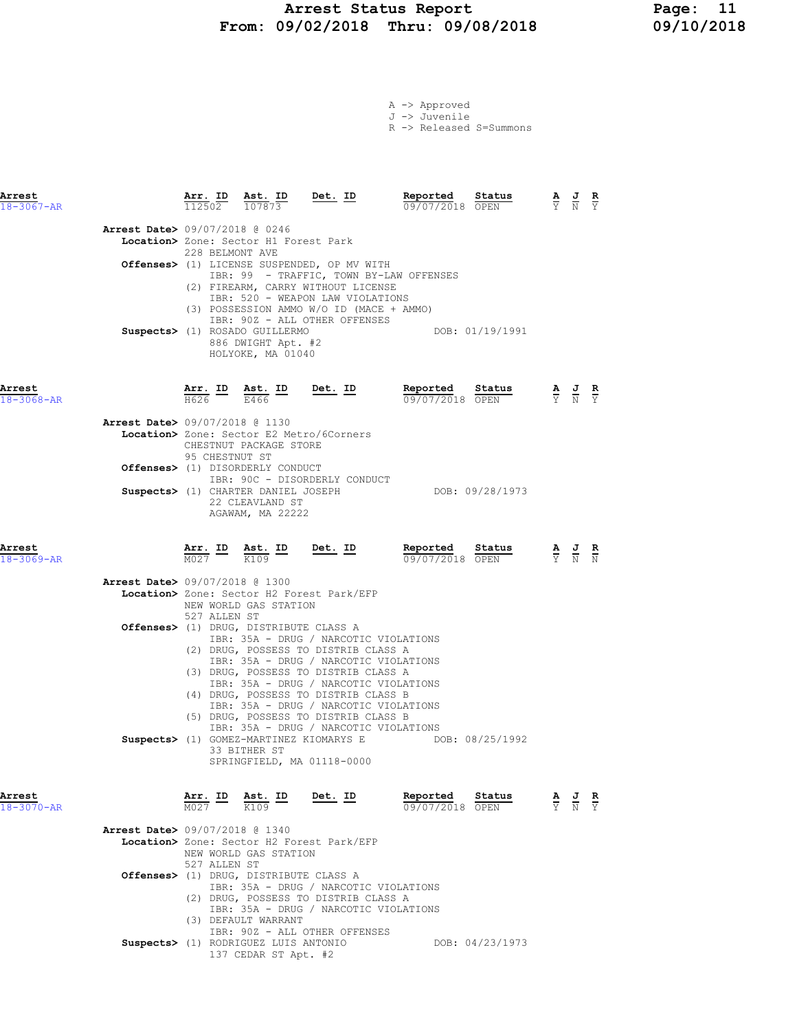## Arrest Status Report Page: 11 From: 09/02/2018 Thru: 09/08/2018

|  | A -> Approved |                         |
|--|---------------|-------------------------|
|  | J -> Juvenile |                         |
|  |               | R -> Released S=Summons |

| Arrest<br>$18 - 3067 - AR$               | $\frac{\texttt{Arr.}}{112502}$ |                                                                           | $\frac{\texttt{Ast.}}{107873}$ Det. ID                                                                                                                                                                 | <b>Reported Status A J R</b> 09/07/2018 OPEN Y N Y |                                                                                                 |
|------------------------------------------|--------------------------------|---------------------------------------------------------------------------|--------------------------------------------------------------------------------------------------------------------------------------------------------------------------------------------------------|----------------------------------------------------|-------------------------------------------------------------------------------------------------|
| Arrest Date> 09/07/2018 @ 0246           | 228 BELMONT AVE                | Location> Zone: Sector H1 Forest Park                                     |                                                                                                                                                                                                        |                                                    |                                                                                                 |
|                                          |                                |                                                                           | Offenses> (1) LICENSE SUSPENDED, OP MV WITH<br>(2) FIREARM, CARRY WITHOUT LICENSE                                                                                                                      | IBR: 99 - TRAFFIC, TOWN BY-LAW OFFENSES            |                                                                                                 |
|                                          |                                | Suspects> (1) ROSADO GUILLERMO<br>886 DWIGHT Apt. #2<br>HOLYOKE, MA 01040 | IBR: 520 - WEAPON LAW VIOLATIONS<br>(3) POSSESSION AMMO W/O ID (MACE + AMMO)<br>IBR: 90Z - ALL OTHER OFFENSES                                                                                          | DOB: 01/19/1991                                    |                                                                                                 |
| Arrest<br>$18 - 3068 - AR$               | H626 F                         | E466 L                                                                    | Arr. ID Ast. ID Det. ID                                                                                                                                                                                | Reported<br>Status<br>09/07/2018 OPEN              | $\frac{\mathbf{A}}{\mathbf{Y}}$ $\frac{\mathbf{J}}{\mathbf{N}}$ $\frac{\mathbf{R}}{\mathbf{Y}}$ |
| <b>Arrest Date&gt; 09/07/2018 @ 1130</b> | 95 CHESTNUT ST                 | CHESTNUT PACKAGE STORE                                                    | <b>Location&gt;</b> Zone: Sector E2 Metro/6Corners                                                                                                                                                     |                                                    |                                                                                                 |
|                                          |                                | Offenses> (1) DISORDERLY CONDUCT<br>22 CLEAVLAND ST                       | IBR: 90C - DISORDERLY CONDUCT<br>Suspects> (1) CHARTER DANIEL JOSEPH                                                                                                                                   | DOB: 09/28/1973                                    |                                                                                                 |
| Arrest<br>18-3069-AR                     |                                | AGAWAM, MA 22222                                                          | $\frac{\texttt{Arr.}}{\texttt{M027}}$ ID ast. ID Det. ID                                                                                                                                               | Reported Status<br>09/07/2018 OPEN                 | $\frac{\mathbf{A}}{\mathbf{Y}}$ $\frac{\mathbf{J}}{\mathbf{N}}$ $\frac{\mathbf{R}}{\mathbf{N}}$ |
| <b>Arrest Date&gt; 09/07/2018 @ 1300</b> | 527 ALLEN ST                   | NEW WORLD GAS STATION                                                     | Location> Zone: Sector H2 Forest Park/EFP                                                                                                                                                              |                                                    |                                                                                                 |
|                                          |                                | Offenses> (1) DRUG, DISTRIBUTE CLASS A                                    | IBR: 35A - DRUG / NARCOTIC VIOLATIONS<br>(2) DRUG, POSSESS TO DISTRIB CLASS A<br>IBR: 35A - DRUG / NARCOTIC VIOLATIONS                                                                                 |                                                    |                                                                                                 |
|                                          |                                |                                                                           | (3) DRUG, POSSESS TO DISTRIB CLASS A<br>IBR: 35A - DRUG / NARCOTIC VIOLATIONS<br>(4) DRUG, POSSESS TO DISTRIB CLASS B<br>IBR: 35A - DRUG / NARCOTIC VIOLATIONS<br>(5) DRUG, POSSESS TO DISTRIB CLASS B |                                                    |                                                                                                 |
|                                          |                                | 33 BITHER ST                                                              | IBR: 35A - DRUG / NARCOTIC VIOLATIONS<br>Suspects> (1) GOMEZ-MARTINEZ KIOMARYS E<br>SPRINGFIELD, MA 01118-0000                                                                                         | DOB: 08/25/1992                                    |                                                                                                 |
| Arrest<br>$18 - 3070 - AR$               | Arr. ID<br>M027                | Ast. ID<br>$\overline{K109}$                                              | Det. ID                                                                                                                                                                                                | Reported<br>Status<br>09/07/2018 OPEN              | $\frac{\mathbf{A}}{\mathbf{Y}}$ $\frac{\mathbf{J}}{\mathbf{N}}$<br>$\frac{R}{Y}$                |
| Arrest Date> 09/07/2018 @ 1340           | 527 ALLEN ST                   | NEW WORLD GAS STATION                                                     | Location> Zone: Sector H2 Forest Park/EFP                                                                                                                                                              |                                                    |                                                                                                 |
|                                          |                                | <b>Offenses&gt;</b> (1) DRUG, DISTRIBUTE CLASS A<br>(3) DEFAULT WARRANT   | IBR: 35A - DRUG / NARCOTIC VIOLATIONS<br>(2) DRUG, POSSESS TO DISTRIB CLASS A<br>IBR: 35A - DRUG / NARCOTIC VIOLATIONS                                                                                 |                                                    |                                                                                                 |

IBR: 90Z - ALL OTHER OFFENSES

Suspects> (1) RODRIGUEZ LUIS ANTONIO DOB: 04/23/1973 137 CEDAR ST Apt. #2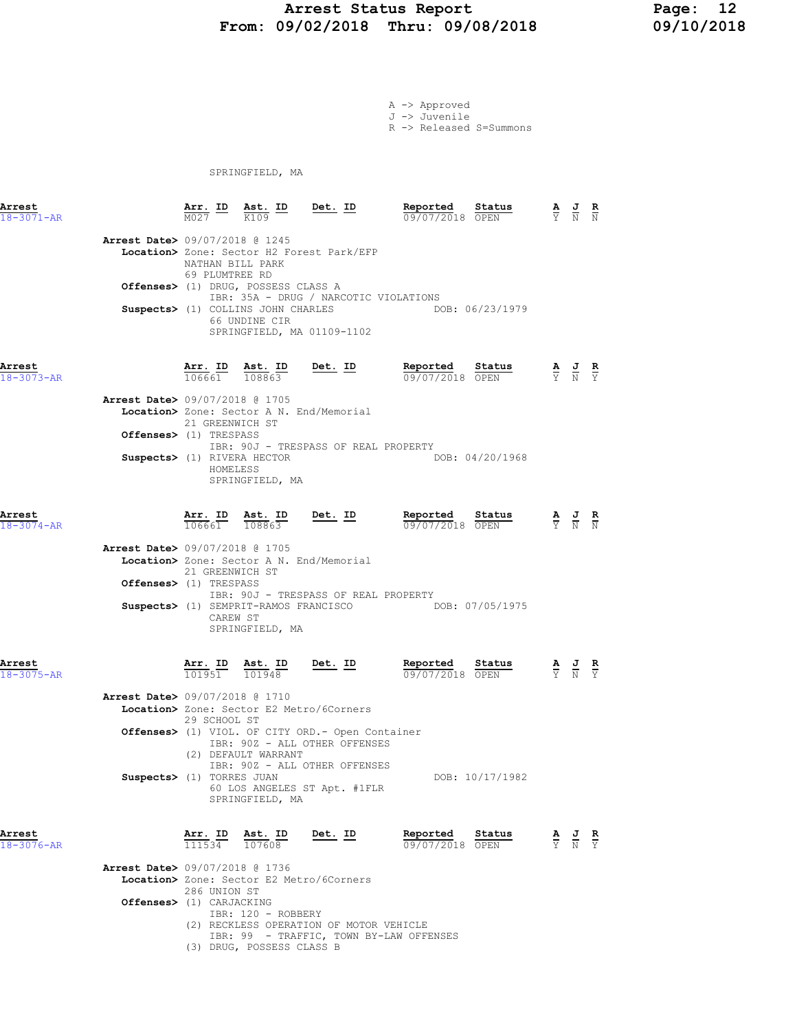## Arrest Status Report 12<br>19/02/2018 Thru: 09/08/2018 19/09/10/2018 From: 09/02/2018 Thru: 09/08/2018

A -> Approved J -> Juvenile R -> Released S=Summons

SPRINGFIELD, MA

| Arrest<br>$18 - 3071 - AR$ |                                                                                                             |                                       | Arr. ID Ast. ID Det. ID<br>K109                                                                         |                                                                                                                                                                                                                      | Reported<br>Status<br>09/07/2018 OPEN                                                       | $\frac{\mathbf{A}}{\mathbf{Y}}$ $\frac{\mathbf{J}}{\mathbf{N}}$ $\frac{\mathbf{R}}{\mathbf{N}}$ |  |
|----------------------------|-------------------------------------------------------------------------------------------------------------|---------------------------------------|---------------------------------------------------------------------------------------------------------|----------------------------------------------------------------------------------------------------------------------------------------------------------------------------------------------------------------------|---------------------------------------------------------------------------------------------|-------------------------------------------------------------------------------------------------|--|
|                            | <b>Arrest Date&gt; 09/07/2018 @ 1245</b>                                                                    | 69 PLUMTREE RD                        | NATHAN BILL PARK<br>Offenses> (1) DRUG, POSSESS CLASS A<br>66 UNDINE CIR                                | Location> Zone: Sector H2 Forest Park/EFP<br>IBR: 35A - DRUG / NARCOTIC VIOLATIONS<br>SPRINGFIELD, MA 01109-1102                                                                                                     | Suspects> (1) COLLINS JOHN CHARLES DOB: 06/23/1979                                          |                                                                                                 |  |
| Arrest<br>$18 - 3073 - AR$ | <b>Arrest Date&gt;</b> 09/07/2018 @ 1705<br><b>Offenses&gt;</b> (1) TRESPASS<br>Suspects> (1) RIVERA HECTOR | 106661<br>21 GREENWICH ST<br>HOMELESS | $Arr_{\frac{1}{2}}$ ID Ast. ID<br>108863<br>SPRINGFIELD, MA                                             | Det. ID<br>Location> Zone: Sector A N. End/Memorial<br>IBR: 90J - TRESPASS OF REAL PROPERTY                                                                                                                          | Reported<br>Status<br>09/07/2018 OPEN<br>DOB: 04/20/1968                                    | $\frac{\mathbf{A}}{\mathbf{Y}}$ $\frac{\mathbf{J}}{\mathbf{N}}$ $\frac{\mathbf{R}}{\mathbf{Y}}$ |  |
| Arrest<br>$18 - 3074 - AR$ | Arrest Date> 09/07/2018 @ 1705<br>Offenses> (1) TRESPASS                                                    | 106661<br>21 GREENWICH ST             | Arr. ID Ast. ID<br>108863<br>CAREW ST<br>SPRINGFIELD, MA                                                | $Det.$ ID<br>Location> Zone: Sector A N. End/Memorial<br>IBR: 90J - TRESPASS OF REAL PROPERTY                                                                                                                        | Reported Status<br>09/07/2018 OPEN<br>Suspects> (1) SEMPRIT-RAMOS FRANCISCO DOB: 07/05/1975 | $\frac{\mathbf{A}}{\mathbf{Y}}$ $\frac{\mathbf{J}}{\mathbf{N}}$ $\frac{\mathbf{R}}{\mathbf{N}}$ |  |
| Arrest<br>$18 - 3075 - AR$ | Arrest Date> 09/07/2018 @ 1710                                                                              | 29 SCHOOL ST                          | Arr. ID Ast. ID<br>101951 101948<br>(2) DEFAULT WARRANT<br>Suspects> (1) TORRES JUAN<br>SPRINGFIELD, MA | Det. ID<br>Location> Zone: Sector E2 Metro/6Corners<br><b>Offenses&gt;</b> (1) VIOL. OF CITY ORD. - Open Container<br>IBR: 90Z - ALL OTHER OFFENSES<br>IBR: 90Z - ALL OTHER OFFENSES<br>60 LOS ANGELES ST Apt. #1FLR | Reported<br>Status<br>09/07/2018 OPEN<br>DOB: 10/17/1982                                    | $\frac{\mathbf{A}}{\mathbf{Y}}$ $\frac{\mathbf{J}}{\mathbf{N}}$ $\frac{\mathbf{R}}{\mathbf{Y}}$ |  |
| Arrest<br>$18 - 3076 - AR$ | <b>Arrest Date&gt; 09/07/2018 @ 1736</b><br>Offenses> (1) CARJACKING                                        | 286 UNION ST                          | IBR: 120 - ROBBERY                                                                                      | $\frac{\texttt{Arr.}}{111534}$ $\frac{\texttt{ Ast.}}{107608}$ Det. ID<br>Location> Zone: Sector E2 Metro/6Corners<br>(2) RECKLESS OPERATION OF MOTOR VEHICLE                                                        | Reported Status<br>09/07/2018 OPEN<br>IBR: 99 - TRAFFIC, TOWN BY-LAW OFFENSES               | $\frac{\mathbf{A}}{\mathbf{Y}}$ $\frac{\mathbf{J}}{\mathbf{N}}$ $\frac{\mathbf{R}}{\mathbf{Y}}$ |  |

(3) DRUG, POSSESS CLASS B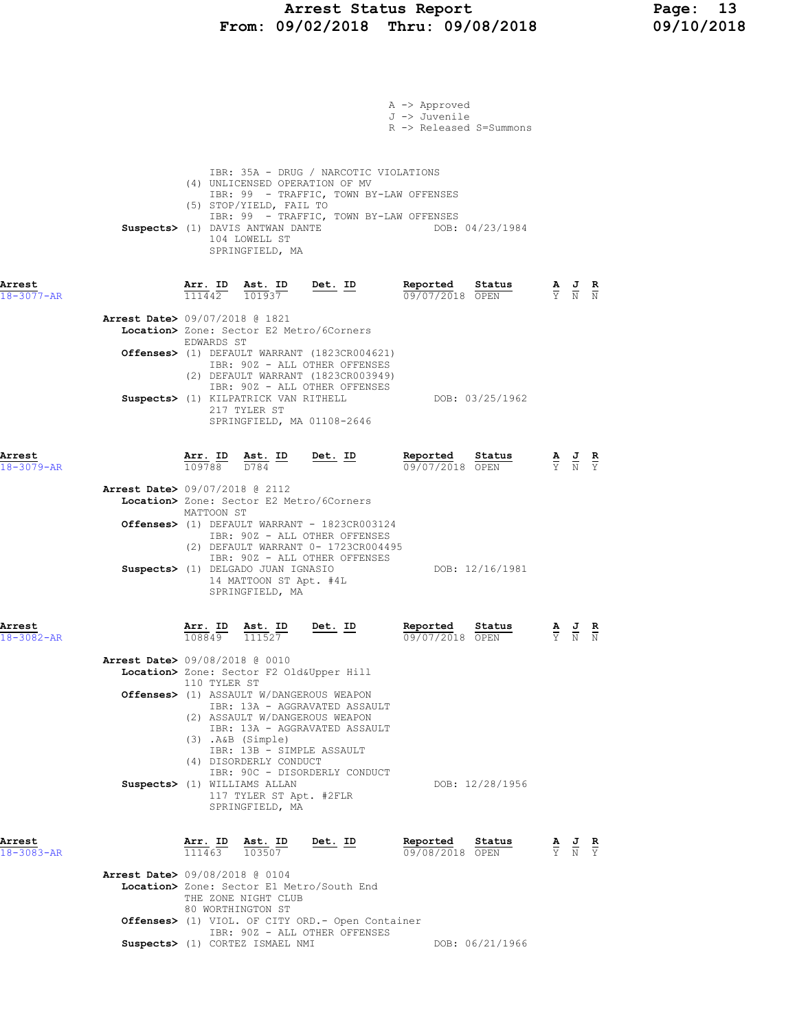## Arrest Status Report Page: 13 From: 09/02/2018 Thru: 09/08/2018 09/10/2018

|                            |                                          |                                                                |                                                                                                      |                                                                                                                                                               | A -> Approved<br>J -> Juvenile<br>R -> Released S=Summons |                 |                                                                                                 |                                                                                                 |  |
|----------------------------|------------------------------------------|----------------------------------------------------------------|------------------------------------------------------------------------------------------------------|---------------------------------------------------------------------------------------------------------------------------------------------------------------|-----------------------------------------------------------|-----------------|-------------------------------------------------------------------------------------------------|-------------------------------------------------------------------------------------------------|--|
|                            |                                          |                                                                | (5) STOP/YIELD, FAIL TO<br>Suspects> (1) DAVIS ANTWAN DANTE<br>104 LOWELL ST<br>SPRINGFIELD, MA      | IBR: 35A - DRUG / NARCOTIC VIOLATIONS<br>(4) UNLICENSED OPERATION OF MV<br>IBR: 99 - TRAFFIC, TOWN BY-LAW OFFENSES<br>IBR: 99 - TRAFFIC, TOWN BY-LAW OFFENSES |                                                           | DOB: 04/23/1984 |                                                                                                 |                                                                                                 |  |
| Arrest<br>$18 - 3077 - AR$ |                                          | $\frac{\texttt{Arr.}}{\texttt{max}}$<br>111442                 | $\frac{\texttt{Ast. ID}}{101937}$                                                                    | $Det. ID$                                                                                                                                                     | Reported<br>09/07/2018 OPEN                               | <u>Status</u>   | $\frac{\mathbf{A}}{\mathbf{Y}}$ $\frac{\mathbf{J}}{\mathbf{N}}$ $\frac{\mathbf{R}}{\mathbf{N}}$ |                                                                                                 |  |
|                            | Arrest Date> 09/07/2018 @ 1821           | EDWARDS ST                                                     |                                                                                                      | Location> Zone: Sector E2 Metro/6Corners                                                                                                                      |                                                           |                 |                                                                                                 |                                                                                                 |  |
|                            |                                          |                                                                |                                                                                                      | Offenses> (1) DEFAULT WARRANT (1823CR004621)<br>IBR: 90Z - ALL OTHER OFFENSES<br>(2) DEFAULT WARRANT (1823CR003949)                                           |                                                           |                 |                                                                                                 |                                                                                                 |  |
|                            |                                          |                                                                | 217 TYLER ST                                                                                         | IBR: 90Z - ALL OTHER OFFENSES<br>Suspects> (1) KILPATRICK VAN RITHELL<br>SPRINGFIELD, MA 01108-2646                                                           |                                                           | DOB: 03/25/1962 |                                                                                                 |                                                                                                 |  |
| Arrest<br>$18 - 3079 - AR$ |                                          |                                                                |                                                                                                      | $\frac{\texttt{Arr.}}{109788}$ $\frac{\texttt{ Ast.}}{D784}$ $\frac{\texttt{ID}}{2098}$ $\frac{\texttt{Det.}}{2098}$                                          | Reported<br>09/07/2018 OPEN                               | Status          |                                                                                                 | $\frac{\mathbf{A}}{\mathbf{Y}}$ $\frac{\mathbf{J}}{\mathbf{N}}$ $\frac{\mathbf{R}}{\mathbf{Y}}$ |  |
|                            | <b>Arrest Date&gt; 09/07/2018 @ 2112</b> | MATTOON ST                                                     |                                                                                                      | Location> Zone: Sector E2 Metro/6Corners                                                                                                                      |                                                           |                 |                                                                                                 |                                                                                                 |  |
|                            |                                          |                                                                |                                                                                                      | Offenses> (1) DEFAULT WARRANT - 1823CR003124<br>IBR: 90Z - ALL OTHER OFFENSES<br>(2) DEFAULT WARRANT 0- 1723CR004495<br>IBR: 90Z - ALL OTHER OFFENSES         |                                                           |                 |                                                                                                 |                                                                                                 |  |
|                            |                                          |                                                                | Suspects> (1) DELGADO JUAN IGNASIO<br>14 MATTOON ST Apt. #4L<br>SPRINGFIELD, MA                      |                                                                                                                                                               |                                                           | DOB: 12/16/1981 |                                                                                                 |                                                                                                 |  |
| Arrest<br>$18 - 3082 - AR$ |                                          | $\frac{\texttt{Arr.}}{108849}$ $\frac{\texttt{ Ast.}}{111527}$ |                                                                                                      | Det. ID                                                                                                                                                       | Reported<br>09/07/2018 OPEN                               | Status          |                                                                                                 | $\frac{\mathbf{A}}{\mathbf{Y}}$ $\frac{\mathbf{J}}{\mathbf{N}}$ $\frac{\mathbf{R}}{\mathbf{N}}$ |  |
|                            | Arrest Date> 09/08/2018 @ 0010           | 110 TYLER ST                                                   |                                                                                                      | Location> Zone: Sector F2 Old&Upper Hill                                                                                                                      |                                                           |                 |                                                                                                 |                                                                                                 |  |
|                            |                                          |                                                                | $(3)$ . A&B $(Simple)$<br>IBR: 13B - SIMPLE ASSAULT                                                  | Offenses> (1) ASSAULT W/DANGEROUS WEAPON<br>IBR: 13A - AGGRAVATED ASSAULT<br>(2) ASSAULT W/DANGEROUS WEAPON<br>IBR: 13A - AGGRAVATED ASSAULT                  |                                                           |                 |                                                                                                 |                                                                                                 |  |
|                            |                                          |                                                                | (4) DISORDERLY CONDUCT<br>Suspects> (1) WILLIAMS ALLAN<br>117 TYLER ST Apt. #2FLR<br>SPRINGFIELD, MA | IBR: 90C - DISORDERLY CONDUCT                                                                                                                                 |                                                           | DOB: 12/28/1956 |                                                                                                 |                                                                                                 |  |
| Arrest<br>18-3083-AR       |                                          | $\frac{\texttt{Arr. ID}}{111463}$                              | $\frac{\text{Ast.}}{103507}$                                                                         | Det. ID                                                                                                                                                       | Reported<br>09/08/2018 OPEN                               | Status          |                                                                                                 | $\frac{\mathbf{A}}{\mathbf{Y}}$ $\frac{\mathbf{J}}{\mathbf{N}}$ $\frac{\mathbf{R}}{\mathbf{Y}}$ |  |
|                            | Arrest Date> 09/08/2018 @ 0104           |                                                                | THE ZONE NIGHT CLUB                                                                                  | Location> Zone: Sector E1 Metro/South End                                                                                                                     |                                                           |                 |                                                                                                 |                                                                                                 |  |
|                            |                                          |                                                                | 80 WORTHINGTON ST                                                                                    | Offenses> (1) VIOL. OF CITY ORD. - Open Container<br>IBR: 90Z - ALL OTHER OFFENSES                                                                            |                                                           |                 |                                                                                                 |                                                                                                 |  |
|                            |                                          |                                                                | Suspects> (1) CORTEZ ISMAEL NMI                                                                      |                                                                                                                                                               |                                                           | DOB: 06/21/1966 |                                                                                                 |                                                                                                 |  |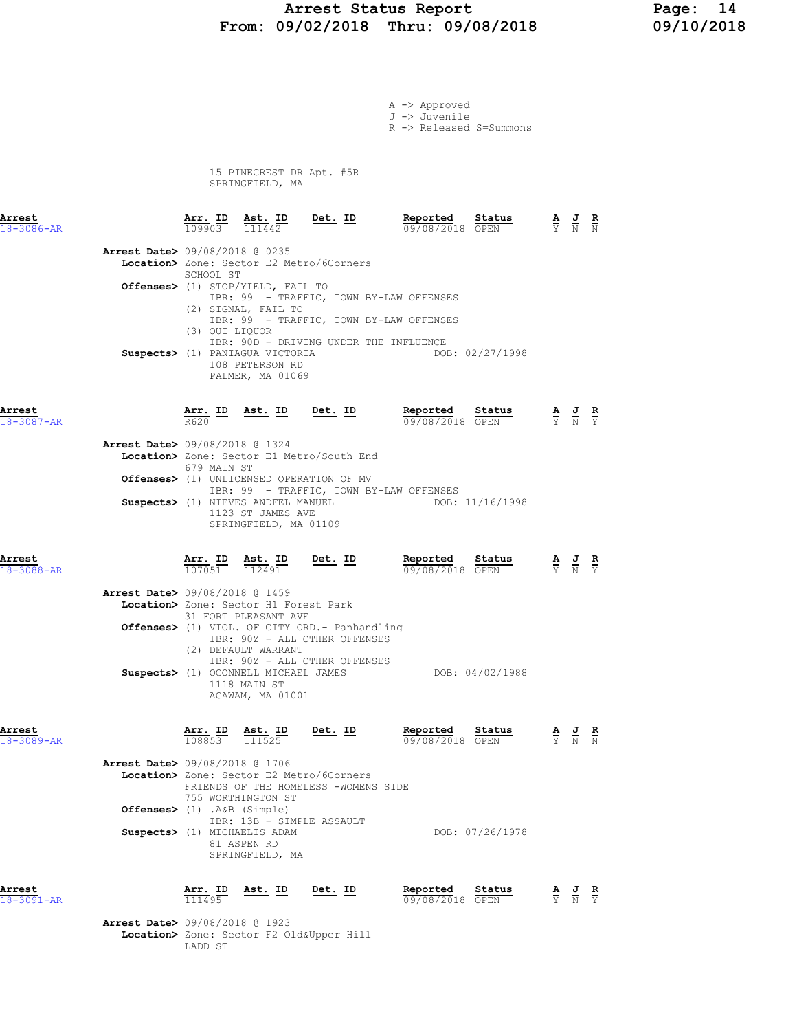# Arrest Status Report Page: 14 From: 09/02/2018 Thru: 09/08/2018

|                            |                                          |                                |                                                                                  |                                                                                  | A -> Approved<br>J -> Juvenile<br>R -> Released S=Summons                                            |                                                                                                 |                                                                                                 |  |
|----------------------------|------------------------------------------|--------------------------------|----------------------------------------------------------------------------------|----------------------------------------------------------------------------------|------------------------------------------------------------------------------------------------------|-------------------------------------------------------------------------------------------------|-------------------------------------------------------------------------------------------------|--|
|                            |                                          |                                | 15 PINECREST DR Apt. #5R<br>SPRINGFIELD, MA                                      |                                                                                  |                                                                                                      |                                                                                                 |                                                                                                 |  |
| Arrest<br>$18 - 3086 - AR$ |                                          | $\frac{\texttt{Arr.}}{109903}$ |                                                                                  | $\frac{\texttt{Ast.}}{111442}$ Det. ID                                           | Reported Status<br>09/08/2018 OPEN                                                                   | $\frac{\mathbf{A}}{\mathbf{Y}}$ $\frac{\mathbf{J}}{\mathbf{N}}$ $\frac{\mathbf{R}}{\mathbf{N}}$ |                                                                                                 |  |
|                            | <b>Arrest Date&gt; 09/08/2018 @ 0235</b> | SCHOOL ST                      | <b>Offenses&gt;</b> (1) STOP/YIELD, FAIL TO<br>(2) SIGNAL, FAIL TO               | Location> Zone: Sector E2 Metro/6Corners                                         | IBR: 99 - TRAFFIC, TOWN BY-LAW OFFENSES                                                              |                                                                                                 |                                                                                                 |  |
|                            |                                          | (3) OUI LIQUOR                 | Suspects> (1) PANIAGUA VICTORIA<br>108 PETERSON RD<br>PALMER, MA 01069           |                                                                                  | IBR: 99 - TRAFFIC, TOWN BY-LAW OFFENSES<br>IBR: 90D - DRIVING UNDER THE INFLUENCE<br>DOB: 02/27/1998 |                                                                                                 |                                                                                                 |  |
| Arrest<br>$18 - 3087 - AR$ |                                          | R620                           |                                                                                  | Arr. ID Ast. ID Det. ID                                                          | Reported Status<br>09/08/2018 OPEN                                                                   | $\frac{\mathbf{A}}{\mathbf{Y}}$ $\frac{\mathbf{J}}{\mathbf{N}}$ $\frac{\mathbf{R}}{\mathbf{Y}}$ |                                                                                                 |  |
|                            | <b>Arrest Date&gt; 09/08/2018 @ 1324</b> |                                |                                                                                  | Location> Zone: Sector E1 Metro/South End                                        |                                                                                                      |                                                                                                 |                                                                                                 |  |
|                            |                                          | 679 MAIN ST                    |                                                                                  | <b>Offenses&gt;</b> (1) UNLICENSED OPERATION OF MV                               | IBR: 99 - TRAFFIC, TOWN BY-LAW OFFENSES                                                              |                                                                                                 |                                                                                                 |  |
|                            |                                          |                                | Suspects> (1) NIEVES ANDFEL MANUEL<br>1123 ST JAMES AVE<br>SPRINGFIELD, MA 01109 |                                                                                  | DOB: 11/16/1998                                                                                      |                                                                                                 |                                                                                                 |  |
| Arrest<br>$18 - 3088 - AR$ |                                          |                                | $\frac{\texttt{Arr.}}{107051}$ $\frac{\texttt{ Ast.}}{112491}$                   | $Det. ID$                                                                        | Reported<br>Status<br>09/08/2018 OPEN                                                                |                                                                                                 | $\frac{\mathbf{A}}{\mathbf{Y}}$ $\frac{\mathbf{J}}{\mathbf{N}}$ $\frac{\mathbf{R}}{\mathbf{Y}}$ |  |
|                            | Arrest Date> 09/08/2018 @ 1459           |                                | Location> Zone: Sector H1 Forest Park                                            |                                                                                  |                                                                                                      |                                                                                                 |                                                                                                 |  |
|                            |                                          |                                | 31 FORT PLEASANT AVE                                                             | Offenses> (1) VIOL. OF CITY ORD. - Panhandling<br>IBR: 90Z - ALL OTHER OFFENSES  |                                                                                                      |                                                                                                 |                                                                                                 |  |
|                            |                                          |                                | (2) DEFAULT WARRANT<br>1118 MAIN ST<br>AGAWAM, MA 01001                          | IBR: 90Z - ALL OTHER OFFENSES<br>Suspects> (1) OCONNELL MICHAEL JAMES            | DOB: 04/02/1988                                                                                      |                                                                                                 |                                                                                                 |  |
| Arrest<br>$18 - 3089 - AR$ |                                          |                                |                                                                                  | $\frac{\texttt{Arr. ID}}{108853}$ $\frac{\texttt{ Ast. ID}}{111525}$ Det. ID     | Reported Status<br>09/08/2018 OPEN                                                                   | $\frac{\mathbf{A}}{\mathbf{Y}}$ $\frac{\mathbf{J}}{\mathbf{N}}$ $\frac{\mathbf{R}}{\mathbf{N}}$ |                                                                                                 |  |
|                            | <b>Arrest Date&gt; 09/08/2018 @ 1706</b> |                                |                                                                                  | Location> Zone: Sector E2 Metro/6Corners<br>FRIENDS OF THE HOMELESS -WOMENS SIDE |                                                                                                      |                                                                                                 |                                                                                                 |  |
|                            | Offenses> (1) .A&B (Simple)              |                                | 755 WORTHINGTON ST                                                               | IBR: 13B - SIMPLE ASSAULT                                                        |                                                                                                      |                                                                                                 |                                                                                                 |  |
|                            |                                          |                                | Suspects> (1) MICHAELIS ADAM<br>81 ASPEN RD<br>SPRINGFIELD, MA                   |                                                                                  | DOB: 07/26/1978                                                                                      |                                                                                                 |                                                                                                 |  |
| Arrest<br>18-3091-AR       |                                          | Arr. ID<br>111495              | <u>Ast. ID</u>                                                                   | <u>Det. ID</u>                                                                   | Reported Status<br>09/08/2018 OPEN                                                                   |                                                                                                 | $\frac{\mathbf{A}}{\mathbf{Y}}$ $\frac{\mathbf{J}}{\mathbf{N}}$ $\frac{\mathbf{R}}{\mathbf{Y}}$ |  |
|                            |                                          |                                |                                                                                  |                                                                                  |                                                                                                      |                                                                                                 |                                                                                                 |  |

Arrest Date> 09/08/2018 @ 1923 Location> Zone: Sector F2 Old&Upper Hill LADD ST